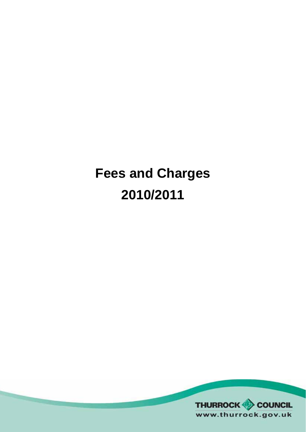# **Fees and Charges 2010/2011**

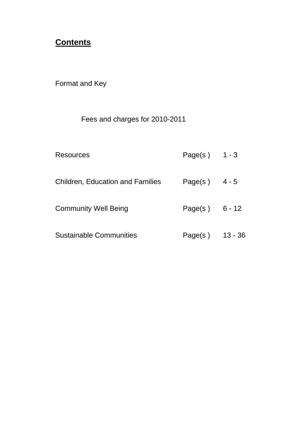## **Contents**

Format and Key

# Fees and charges for 2010-2011

| Resources                        | Page(s) $1 - 3$  |           |
|----------------------------------|------------------|-----------|
| Children, Education and Families | Page(s) $4-5$    |           |
| <b>Community Well Being</b>      | Page(s) $6 - 12$ |           |
| <b>Sustainable Communities</b>   | Page(s)          | $13 - 36$ |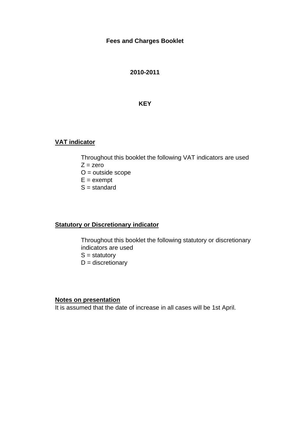#### **Fees and Charges Booklet**

#### **2010-2011**

#### **KEY**

## **VAT indicator**

Throughout this booklet the following VAT indicators are used  $Z = zero$  $O =$  outside scope  $E =$  exempt

 $S =$  standard

## **Statutory or Discretionary indicator**

Throughout this booklet the following statutory or discretionary indicators are used  $S =$  statutory  $D =$  discretionary

#### **Notes on presentation**

It is assumed that the date of increase in all cases will be 1st April.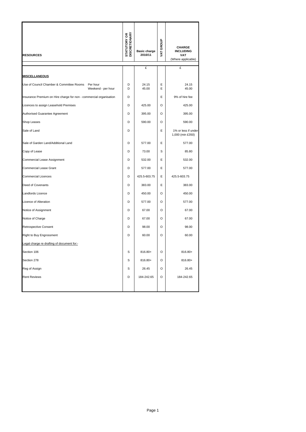| <b>RESOURCES</b>                                                           | <b>STATUTORY OR<br/>DISCRETIONARY</b> | <b>Basic charge</b><br>2010/11 | VAT GROUP | <b>CHARGE</b><br><b>INCLUDING</b><br><b>VAT</b><br>(Where applicable) |
|----------------------------------------------------------------------------|---------------------------------------|--------------------------------|-----------|-----------------------------------------------------------------------|
|                                                                            |                                       | £                              |           | £                                                                     |
| <b>MISCELLANEOUS</b>                                                       |                                       |                                |           |                                                                       |
| Use of Council Chamber & Committee Rooms<br>Per hour<br>Weekend - per hour | D<br>D                                | 24.15<br>45.00                 | Е<br>E    | 24.15<br>45.00                                                        |
| Insurance Premium on Hire charge for non - commercial organisation         | D                                     |                                | E         | 9% of hire fee                                                        |
| Licences to assign Leasehold Premises                                      | D                                     | 425.00                         | O         | 425.00                                                                |
| Authorised Guarantee Agreement                                             | D                                     | 395.00                         | $\circ$   | 395.00                                                                |
| Shop Leases                                                                | D                                     | 590.00                         | O         | 590.00                                                                |
| Sale of Land                                                               | D                                     |                                | E         | 1% or less if under<br>1,000 (min £350)                               |
| Sale of Garden Land/Additional Land                                        | D                                     | 577.00                         | E         | 577.00                                                                |
| Copy of Lease                                                              | D                                     | 73.00                          | S         | 85.80                                                                 |
| Commercial Lease Assignment                                                | D                                     | 532.00                         | E         | 532.00                                                                |
| <b>Commercial Lease Grant</b>                                              | D                                     | 577.00                         | E         | 577.00                                                                |
| <b>Commercial Licences</b>                                                 | D                                     | 425.5-603.75                   | E         | 425.5-603.75                                                          |
| Deed of Covenants                                                          | D                                     | 383.00                         | Е         | 383.00                                                                |
| Landlords Licence                                                          | D                                     | 450.00                         | O         | 450.00                                                                |
| Licence of Alteration                                                      | D                                     | 577.00                         | $\circ$   | 577.00                                                                |
| Notice of Assignment                                                       | D                                     | 67.00                          | O         | 67.00                                                                 |
| Notice of Charge                                                           | D                                     | 67.00                          | $\circ$   | 67.00                                                                 |
| Retrospective Consent                                                      | D                                     | 98.00                          | O         | 98.00                                                                 |
| Right to Buy Engrossment                                                   | D                                     | 60.00                          | O         | 60.00                                                                 |
| Legal charge re drafting of document for:-                                 |                                       |                                |           |                                                                       |
| Section 106                                                                | S                                     | 816.80+                        | O         | 816.80+                                                               |
| Section 278                                                                | S                                     | 816.80+                        | O         | 816.80+                                                               |
| Reg of Assign                                                              | S                                     | 26.45                          | O         | 26.45                                                                 |
| <b>Rent Reviews</b>                                                        | D                                     | 184-242.65                     | O         | 184-242.65                                                            |
|                                                                            |                                       |                                |           |                                                                       |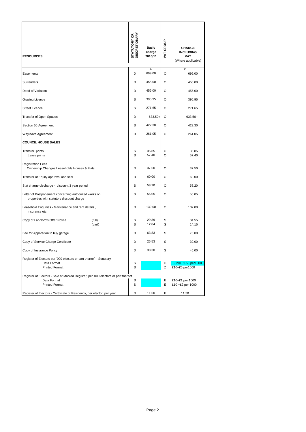| <b>RESOURCES</b>                                                                                   |                  | <b>DISCRETIONARY</b><br><b>STATUTORY OR</b> | <b>Basic</b><br>charge<br>2010/11 | VAT GROUP | <b>CHARGE</b><br><b>INCLUDING</b><br><b>VAT</b><br>(Where applicable) |
|----------------------------------------------------------------------------------------------------|------------------|---------------------------------------------|-----------------------------------|-----------|-----------------------------------------------------------------------|
| Easements                                                                                          |                  | D                                           | £<br>699.00                       | O         | £<br>699.00                                                           |
| Surrenders                                                                                         |                  | D                                           | 456.00                            | O         | 456.00                                                                |
| Deed of Variation                                                                                  |                  | D                                           | 456.00                            | O         | 456.00                                                                |
| Grazing Licence                                                                                    |                  | S                                           | 395.95                            | O         | 395.95                                                                |
| <b>Street Licence</b>                                                                              |                  | S                                           | 271.65                            | O         | 271.65                                                                |
| Transfer of Open Spaces                                                                            |                  | D                                           | 633.50+                           | O         | 633.50+                                                               |
| Section 50 Agreement                                                                               |                  | S                                           | 422.30                            | O         | 422.30                                                                |
| Wayleave Agreement                                                                                 |                  | D                                           | 261.05                            | O         | 261.05                                                                |
| <b>COUNCIL HOUSE SALES</b>                                                                         |                  |                                             |                                   |           |                                                                       |
| Transfer prints<br>Lease prints                                                                    |                  | S<br>S                                      | 35.85<br>57.40                    | O<br>O    | 35.85<br>57.40                                                        |
| <b>Registration Fees</b><br>Ownership Changes Leaseholds Houses & Flats                            |                  | D                                           | 37.50                             | O         | 37.50                                                                 |
| Transfer of Equity approval and seal                                                               |                  | D                                           | 60.00                             | O         | 60.00                                                                 |
| Stat charge discharge - discount 3 year period                                                     |                  | S                                           | 58.20                             | O         | 58.20                                                                 |
| Letter of Postponement concerning authorized works on<br>properties with statutory discount charge |                  | S                                           | 56.05                             | O         | 56.05                                                                 |
| Leasehold Enquiries - Maintenance and rent details,<br>insurance etc.                              |                  | D                                           | 132.00                            | O         | 132.00                                                                |
| Copy of Landlord's Offer Notice                                                                    | (full)<br>(part) | S<br>S                                      | 29.39<br>12.04                    | S<br>S    | 34.55<br>14.15                                                        |
| Fee for Application to buy garage                                                                  |                  | D                                           | 63.83                             | S         | 75.00                                                                 |
| Copy of Service Charge Certificate                                                                 |                  | D                                           | 25.53                             | S         | 30.00                                                                 |
| Copy of Insurance Policy                                                                           |                  | D                                           | 38.30                             | S         | 45.00                                                                 |
| Register of Electors per '000 electors or part thereof - Statutory                                 |                  |                                             |                                   |           |                                                                       |
| Data Format<br><b>Printed Format</b>                                                               |                  | S<br>S                                      |                                   | O<br>Ζ    | £20+£1.50 per1000<br>£10+£5 per1000                                   |
| Register of Electors - Sale of Marked Register, per '000 electors or part thereof                  |                  |                                             |                                   |           |                                                                       |
| Data Format                                                                                        |                  | S                                           |                                   | E         | £10+£1 per 1000                                                       |
| <b>Printed Format</b>                                                                              |                  | S                                           |                                   | Ε         | £10 +£2 per 1000                                                      |
| Register of Electors - Certificate of Residency, per elector, per year                             |                  | D                                           | 11.50                             | Ε         | 11.50                                                                 |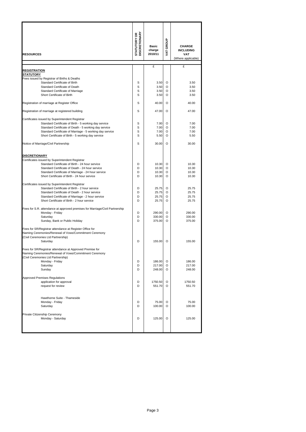| <b>RESOURCES</b>                                                                                                  | <b>STATUTORY OR<br/>DISCRETIONARY</b> | <b>Basic</b><br>charge<br>2010/11 | VAT GROUP | <b>CHARGE</b><br><b>INCLUDING</b><br><b>VAT</b><br>(Where applicable) |
|-------------------------------------------------------------------------------------------------------------------|---------------------------------------|-----------------------------------|-----------|-----------------------------------------------------------------------|
|                                                                                                                   |                                       | £                                 |           | £                                                                     |
| REGISTRATION<br><b>STATUTORY</b>                                                                                  |                                       |                                   |           |                                                                       |
| Fees issued by Registrar of Births & Deaths                                                                       |                                       |                                   |           |                                                                       |
| Standard Certificate of Birth                                                                                     | s                                     | 3.50                              | O         | 3.50                                                                  |
| Standard Certificate of Death                                                                                     | S                                     | 3.50                              | O         | 3.50                                                                  |
| Standard Certificate of Marriage<br>Short Certificate of Birth                                                    | S<br>S                                | 3.50<br>3.50                      | O<br>O    | 3.50<br>3.50                                                          |
|                                                                                                                   |                                       |                                   |           |                                                                       |
| Registration of marriage at Register Office                                                                       | S                                     | 40.00                             | O         | 40.00                                                                 |
| Registration of marriage at registered building                                                                   | S                                     | 47.00                             | O         | 47.00                                                                 |
| Certificates issued by Superintendent Registrar                                                                   |                                       |                                   |           |                                                                       |
| Standard Certificate of Birth - 5 working day service                                                             | S                                     | 7.00                              | O         | 7.00                                                                  |
| Standard Certificate of Death - 5 working day service<br>Standard Certificate of Marriage - 5 working day service | S<br>S                                | 7.00<br>7.00                      | O<br>O    | 7.00<br>7.00                                                          |
| Short Certificate of Birth - 5 working day service                                                                | S                                     | 5.50                              | O         | 5.50                                                                  |
| Notice of Marriage/Civil Partnership                                                                              | S                                     | 30.00                             | O         | 30.00                                                                 |
|                                                                                                                   |                                       |                                   |           |                                                                       |
| <b>DISCRETIONARY</b>                                                                                              |                                       |                                   |           |                                                                       |
| Certificates issued by Superintendent Registrar                                                                   |                                       |                                   |           |                                                                       |
| Standard Certificate of Birth - 24 hour service<br>Standard Certificate of Death - 24 hour service                | D<br>D                                | 10.30<br>10.30                    | O<br>O    | 10.30<br>10.30                                                        |
| Standard Certificate of Marriage - 24 hour service                                                                | D                                     | 10.30                             | O         | 10.30                                                                 |
| Short Certificate of Birth - 24 hour service                                                                      | D                                     | 10.30                             | O         | 10.30                                                                 |
| Certificates issued by Superintendent Registrar                                                                   |                                       |                                   |           |                                                                       |
| Standard Certificate of Birth - 2 hour service                                                                    | D                                     | 25.75                             | O         | 25.75                                                                 |
| Standard Certificate of Death - 2 hour service                                                                    | D                                     | 25.75                             | O         | 25.75                                                                 |
| Standard Certificate of Marriage - 2 hour service                                                                 | D                                     | 25.75                             | O         | 25.75                                                                 |
| Short Certificate of Birth - 2 hour service                                                                       | D                                     | 25.75                             | O         | 25.75                                                                 |
| Fees for S.R. attendance at approved premises for Marriage/Civil Partnership                                      |                                       |                                   |           |                                                                       |
| Monday - Friday<br>Saturday                                                                                       | D<br>D                                | 290.00<br>330.00                  | O<br>O    | 290.00<br>330.00                                                      |
| Sunday, Bank or Public Holiday                                                                                    | D                                     | 375.00                            | O         | 375.00                                                                |
| Fees for SR/Registrar attendance at Register Office for                                                           |                                       |                                   |           |                                                                       |
| Naming Ceremonies/Renewal of Vows/Commitment Ceremony                                                             |                                       |                                   |           |                                                                       |
| (Civil Ceremonies Ltd Partnership)                                                                                |                                       |                                   |           |                                                                       |
| Saturday                                                                                                          | D                                     | 155.00                            | O         | 155.00                                                                |
| Fees for SR/Registrar attendance at Approved Premise for                                                          |                                       |                                   |           |                                                                       |
| Naming Ceremonies/Renewal of Vows/Commitment Ceremony                                                             |                                       |                                   |           |                                                                       |
| (Civil Ceremonies Ltd Partnership)                                                                                |                                       |                                   |           |                                                                       |
| Monday - Friday<br>Saturday                                                                                       | D<br>D                                | 186.00<br>217.00                  | O<br>O    | 186.00<br>217.00                                                      |
| Sunday                                                                                                            | D                                     | 248.00                            | O         | 248.00                                                                |
|                                                                                                                   |                                       |                                   |           |                                                                       |
| <b>Approved Premises Regulations</b>                                                                              | D                                     |                                   | O         |                                                                       |
| application for approval<br>request for review                                                                    | D                                     | 1750.50<br>551.70                 | O         | 1750.50<br>551.70                                                     |
|                                                                                                                   |                                       |                                   |           |                                                                       |
| Hawthorne Suite - Thameside                                                                                       |                                       |                                   |           |                                                                       |
| Monday - Friday                                                                                                   | D                                     | 75.00                             | O         | 75.00                                                                 |
| Saturday                                                                                                          | D                                     | 100.00                            | O         | 100.00                                                                |
| Private Citizenship Ceremony                                                                                      |                                       |                                   |           |                                                                       |
| Monday - Saturday                                                                                                 | D                                     | 125.00                            | O         | 125.00                                                                |
|                                                                                                                   |                                       |                                   |           |                                                                       |
|                                                                                                                   |                                       |                                   |           |                                                                       |
|                                                                                                                   |                                       |                                   |           |                                                                       |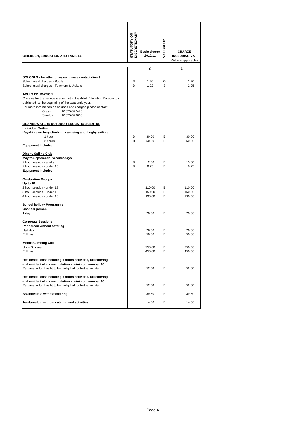| CHILDREN, EDUCATION AND FAMILIES                                                                                                                                                                                                              | <b>STATUTORY OR<br/>DISCRETIONARY</b> | <b>Basic charge</b><br>2010/11 | VAT GROUP | <b>CHARGE</b><br><b>INCLUDING VAT</b><br>(Where applicable) |
|-----------------------------------------------------------------------------------------------------------------------------------------------------------------------------------------------------------------------------------------------|---------------------------------------|--------------------------------|-----------|-------------------------------------------------------------|
|                                                                                                                                                                                                                                               |                                       | £                              |           | £                                                           |
| SCHOOLS - for other charges, please contact direct<br>School meal charges - Pupils<br>School meal charges - Teachers & Visitors<br><u>ADULT EDUCATION:</u>                                                                                    | D<br>D                                | 1.70<br>1.92                   | O<br>S    | 1.70<br>2.25                                                |
| Charges for the service are set out in the Adult Education Prospectus<br>published at the beginning of the academic year.<br>For more information on courses and charges please contact:<br>Grays<br>01375-372476<br>Stanford<br>01375-673616 |                                       |                                |           |                                                             |
| <b>GRANGEWATERS OUTDOOR EDUCATION CENTRE</b>                                                                                                                                                                                                  |                                       |                                |           |                                                             |
| <b>Individual Tuition</b><br>Kayaking, archery, climbing, canoeing and dinghy sailing<br>- 1 hour<br>- 2 hours<br><b>Equipment Included</b>                                                                                                   | D<br>D                                | 30.90<br>50.00                 | Ε<br>Е    | 30.90<br>50.00                                              |
| Dinghy Sailing Club                                                                                                                                                                                                                           |                                       |                                |           |                                                             |
| May to September - Wednesdays<br>2 hour session - adults<br>2 hour session - under 16<br><b>Equipment Included</b>                                                                                                                            | D<br>D                                | 12.00<br>8.25                  | Ε<br>Е    | 13.00<br>8.25                                               |
| <b>Celebration Groups</b><br>Up to 10<br>2 hour session - under 18<br>3 hour session - under 18                                                                                                                                               |                                       | 110.00<br>150.00               | Е<br>E    | 110.00<br>150.00                                            |
| 4 hour session - under 18                                                                                                                                                                                                                     |                                       | 190.00                         | Е         | 190.00                                                      |
| School holiday Programme<br>Cost per person<br>1 day                                                                                                                                                                                          |                                       | 20.00                          | E         | 20.00                                                       |
| <b>Corporate Sessions</b><br>Per person without catering                                                                                                                                                                                      |                                       |                                |           |                                                             |
| Half day<br>Full day                                                                                                                                                                                                                          |                                       | 26.00<br>50.00                 | Е<br>Е    | 26.00<br>50.00                                              |
| <b>Mobile Climbing wall</b><br>Up to 3 hours<br>Full day                                                                                                                                                                                      |                                       | 250.00<br>450.00               | Е<br>Е    | 250.00<br>450.00                                            |
| Residential cost including 6 hours activities, full catering<br>and residential accommodation = minimum number 10<br>Per person for 1 night to be multiplied for further nights                                                               |                                       | 52.00                          | Ε         | 52.00                                                       |
| Residential cost including 6 hours activities, full catering<br>and residential accommodation = minimum number 10<br>Per person for 1 night to be multiplied for further nights                                                               |                                       | 52.00                          | Ε         | 52.00                                                       |
| As above but without catering                                                                                                                                                                                                                 |                                       | 39.50                          | Е         | 39.50                                                       |
| As above but without catering and activities                                                                                                                                                                                                  |                                       | 14.50                          | Е         | 14.50                                                       |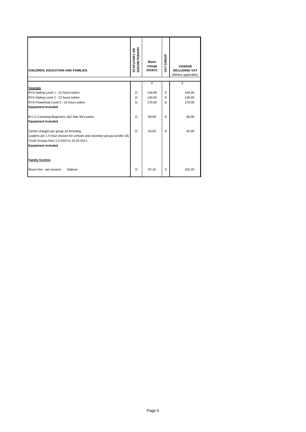| CHILDREN, EDUCATION AND FAMILIES                                                                                                                                                            | <b>STATUTORY OR</b><br>DISCRETIONARY | <b>Basic</b><br>charge<br>2010/11 | GROUP<br>Ĕ | <b>CHARGE</b><br><b>INCLUDING VAT</b><br>(Where applicable) |
|---------------------------------------------------------------------------------------------------------------------------------------------------------------------------------------------|--------------------------------------|-----------------------------------|------------|-------------------------------------------------------------|
|                                                                                                                                                                                             |                                      | £                                 |            | £                                                           |
| <b>Courses</b>                                                                                                                                                                              |                                      |                                   |            |                                                             |
| RYA Sailing Level 1 - 12 hours tuition                                                                                                                                                      | D                                    | 140.00                            | E          | 140.00                                                      |
| RYA Sailing Level 2 - 12 hours tuition                                                                                                                                                      | D.                                   | 140.00                            | E          | 140.00                                                      |
| RYA Powerboat Level 2 - 16 hours tuition                                                                                                                                                    | D.                                   | 170.00                            | E          | 170.00                                                      |
| <b>Equipment Included</b>                                                                                                                                                                   |                                      |                                   |            |                                                             |
| B.C.U.Canoeing Beginners 1&2 Star 9hrs tuition<br><b>Equipment Included</b>                                                                                                                 | D                                    | 80.00                             | F          | 80.00                                                       |
| Centre charges per group 10 including<br>Leaders per 1.5 hour session for schools and voluntary groups (under 18)<br>Youth Groups from 1.4.2010 to 31.03.2011:<br><b>Equipment included</b> | D                                    | 65.00                             | Е          | 65.00                                                       |
| <b>Family Centres</b>                                                                                                                                                                       |                                      |                                   |            |                                                             |
| Room hire - per session<br>Oaktree                                                                                                                                                          | D                                    | 87.20                             | S          | 102.45                                                      |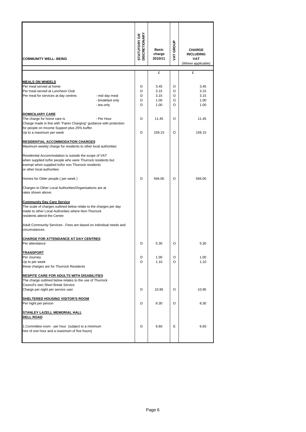| <b>COMMUNITY WELL- BEING</b>                                                                                                                                                                             | <b>STATUTORY OR<br/>DISCRETIONARY</b> | <b>Basic</b><br>charge<br>2010/11 | VAT GROUP        | <b>CHARGE</b><br><b>INCLUDING</b><br><b>VAT</b><br>(Where applicable) |
|----------------------------------------------------------------------------------------------------------------------------------------------------------------------------------------------------------|---------------------------------------|-----------------------------------|------------------|-----------------------------------------------------------------------|
|                                                                                                                                                                                                          |                                       | £                                 |                  | £                                                                     |
| <b>MEALS ON WHEELS</b><br>Per meal served at home<br>Per meal served at Luncheon Club<br>Per meal for services at day centres<br>- mid day meal<br>- breakfast only                                      | D<br>D<br>D<br>D                      | 3.45<br>3.15<br>3.15<br>1.00      | O<br>O<br>O<br>O | 3.45<br>3.15<br>3.15<br>1.00                                          |
| - tea only                                                                                                                                                                                               | D                                     | 1.00                              | O                | 1.00                                                                  |
| DOMICILIARY CARE<br>The charge for home care is<br>- Per Hour<br>Charge made in line with "Fairer Charging" guidance with protection<br>for people on Income Support plus 25% buffer.                    | D<br>D                                | 11.45                             | O                | 11.45                                                                 |
| Up to a maximum per week                                                                                                                                                                                 |                                       | 159.15                            | O                | 159.15                                                                |
| <u>RESIDENTIAL ACCOMMODATION CHARGES</u><br>Maximum weekly charge for residents to other local authorities                                                                                               |                                       |                                   |                  |                                                                       |
| Residential Accommodation is outside the scope of VAT<br>when supplied to/for people who were Thurrock residents but<br>exempt when supplied to/for non Thurrock residents<br>or other local authorities |                                       |                                   |                  |                                                                       |
| Homes for Older people (per week)                                                                                                                                                                        | D                                     | 594.00                            | O                | 594.00                                                                |
| Charges to Other Local Authorities/Organisations are at<br>rates shown above.                                                                                                                            |                                       |                                   |                  |                                                                       |
| <b>Community Day Care Service</b><br>The scale of charges outlined below relate to the charges per day<br>made to other Local Authorities where Non-Thurrock<br>residents attend the Centre              |                                       |                                   |                  |                                                                       |
| Adult Community Services - Fees are based on individual needs and<br>circumstances.                                                                                                                      |                                       |                                   |                  |                                                                       |
| <b>CHARGE FOR ATTENDANCE AT DAY CENTRES</b><br>Per attendance                                                                                                                                            | D                                     | 5.30                              | O                | 5.30                                                                  |
| <u>IRANSPORT</u><br>Per Journey<br>Up to per week<br>these charges are for Thurrock Residents                                                                                                            | D<br>D                                | 1.00<br>1.10                      | O<br>O           | 1.00<br>1.10                                                          |
| <b>RESPITE CARE FOR ADULTS WITH DISABILITIES</b><br>The charge outlined below relates to the use of Thurrock<br>Council's own Short Break Service                                                        |                                       |                                   |                  |                                                                       |
| Charge per night per service user                                                                                                                                                                        | D                                     | 10.95                             | O                | 10.95                                                                 |
| <b>SHELTERED HOUSING VISITOR'S ROOM</b><br>Per night per person                                                                                                                                          | D                                     | 8.30                              | O                | 8.30                                                                  |
| <b>STANLEY LAZELL MEMORIAL HALL</b><br><b>DELL ROAD</b>                                                                                                                                                  |                                       |                                   |                  |                                                                       |
| 1. Committee room - per hour (subject to a minimum<br>hire of one hour and a maximum of five hours)                                                                                                      | D                                     | 6.60                              | Е                | 6.60                                                                  |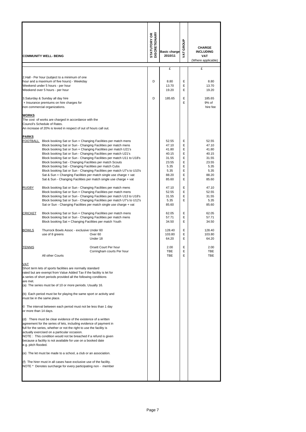|                       | <b>COMMUNITY WELL- BEING</b>                                                                                                                                                                                                                                                                                                                                                                                                                                                                                                                                                                                                                                                                   | <b>STATUTORY OR<br/>DISCRETIONARY</b> | <b>Basic charge</b><br>2010/11                                                       | GROUP<br><b>TAT</b>                            | <b>CHARGE</b><br><b>INCLUDING</b><br><b>VAT</b><br>(Where applicable)                |
|-----------------------|------------------------------------------------------------------------------------------------------------------------------------------------------------------------------------------------------------------------------------------------------------------------------------------------------------------------------------------------------------------------------------------------------------------------------------------------------------------------------------------------------------------------------------------------------------------------------------------------------------------------------------------------------------------------------------------------|---------------------------------------|--------------------------------------------------------------------------------------|------------------------------------------------|--------------------------------------------------------------------------------------|
|                       |                                                                                                                                                                                                                                                                                                                                                                                                                                                                                                                                                                                                                                                                                                |                                       | £                                                                                    |                                                | £                                                                                    |
|                       | 2.Hall - Per hour (subject to a minimum of one<br>hour and a maximum of five hours) - Weekday<br>Weekend under 5 hours - per hour<br>Weekend over 5 hours - per hour                                                                                                                                                                                                                                                                                                                                                                                                                                                                                                                           | D                                     | 8.80<br>13.70<br>19.20                                                               | E<br>E<br>E                                    | 8.80<br>13.70<br>19.20                                                               |
|                       | 3. Saturday & Sunday all day hire<br>+ Insurance premiums on hire charges for<br>non commercial organizations.                                                                                                                                                                                                                                                                                                                                                                                                                                                                                                                                                                                 | D                                     | 185.65                                                                               | E<br>E                                         | 185.65<br>9% of<br>hire fee                                                          |
| <b>WORKS</b>          | The cost of works are charged in accordance with the<br>Council's Schedule of Rates.<br>An increase of 20% is levied in respect of out of hours call out.                                                                                                                                                                                                                                                                                                                                                                                                                                                                                                                                      |                                       |                                                                                      |                                                |                                                                                      |
| <b>PARKS</b>          | FOOTBALL Block booking Sat or Sun + Changing Facilities per match mens<br>Block booking Sat or Sun - Changing Facilities per match mens<br>Block booking Sat or Sun + Changing Facilities per match U21's<br>Block booking Sat or Sun - Changing Facilities per match U21's<br>Block booking Sat or Sun - Changing Facilities per match U11 to U18's<br>Block booking Sat - Changing Facilities per match Scouts<br>Block booking Sat - Changing Facilities per match Cubs<br>Block booking Sat or Sun - Changing Facilities per match U7's to U10's<br>Sat & Sun + Changing Facilities per match single use charge + vat<br>Sat & Sun - Changing Facilities per match single use charge + vat |                                       | 52.55<br>47.10<br>41.80<br>40.15<br>31.55<br>23.55<br>5.35<br>5.35<br>88.20<br>85.60 | Ε<br>E<br>Ε<br>E<br>Ε<br>E<br>Ε<br>E<br>E<br>E | 52.55<br>47.10<br>41.80<br>40.15<br>31.55<br>23.55<br>5.35<br>5.35<br>88.20<br>85.60 |
| <b>RUGBY</b>          | Block booking Sat or Sun - Changing Facilities per match mens<br>Block booking Sat or Sun + Changing Facilities per match mens<br>Block booking Sat or Sun - Changing Facilities per match U13 to U18's<br>Block booking Sat or Sun - Changing Facilities per match U7's to U12's<br>Sat or Sun - Changing Facilities per match single use charge + vat                                                                                                                                                                                                                                                                                                                                        |                                       | 47.10<br>52.55<br>31.55<br>5.35<br>85.60                                             | E<br>E<br>E<br>E                               | 47.10<br>52.55<br>31.55<br>5.35<br>85.60                                             |
| <b>CRICKET</b>        | Block booking Sat or Sun + Changing Facilities per match mens<br>Block booking Sat or Sun - Changing Facilities per match mens<br>Block booking Sat + Changing Facilities per match Youth                                                                                                                                                                                                                                                                                                                                                                                                                                                                                                      |                                       | 62.05<br>57.71<br>34.50                                                              | E<br>E<br>E                                    | 62.05<br>57.71<br>34.50                                                              |
| <b>BOWLS</b>          | Thurrock Bowls Assoc - exclusive Under 60<br>use of 8 greens<br>Over <sub>60</sub><br>Under 18                                                                                                                                                                                                                                                                                                                                                                                                                                                                                                                                                                                                 |                                       | 128.40<br>103.80<br>64.20                                                            | E<br>E<br>E                                    | 128.40<br>103.80<br>64.20                                                            |
| <b>TENNIS</b>         | Orsett Court Per hour<br>∪orrıngnam courts Per hour<br>All other Courts                                                                                                                                                                                                                                                                                                                                                                                                                                                                                                                                                                                                                        |                                       | 2.00<br>TBE<br>TBE                                                                   | Ε<br>Ε<br>Ε                                    | 2.00<br>TBE<br>TBE                                                                   |
| VAT<br>are met.       | Short term lets of sports facilities are normally standard<br>rated but are exempt from Value Added Tax if the facility is let for<br>a series of short periods provided all the following conditions<br>(a) The series must be of 10 or more periods. Usually 16.                                                                                                                                                                                                                                                                                                                                                                                                                             |                                       |                                                                                      |                                                |                                                                                      |
|                       | (b) Each period must be for playing the same sport or activity and<br>must be in the same place.<br>© The interval between each period must not be less than 1 day                                                                                                                                                                                                                                                                                                                                                                                                                                                                                                                             |                                       |                                                                                      |                                                |                                                                                      |
| or more than 14 days. |                                                                                                                                                                                                                                                                                                                                                                                                                                                                                                                                                                                                                                                                                                |                                       |                                                                                      |                                                |                                                                                      |
| e.g. pitch flooded.   | (d) There must be clear evidence of the existence of a written<br>agreement for the series of lets, including evidence of payment in<br>full for the series, whether or not the right to use the facility is<br>actually exercised on a particular occasion.<br>NOTE : This condition would not be breached if a refund is given<br>because a facility is not available for use on a booked date                                                                                                                                                                                                                                                                                               |                                       |                                                                                      |                                                |                                                                                      |
|                       | (e) The let must be made to a school, a club or an association.                                                                                                                                                                                                                                                                                                                                                                                                                                                                                                                                                                                                                                |                                       |                                                                                      |                                                |                                                                                      |
|                       | (f) The hirer must in all cases have exclusive use of the facility.<br>NOTE * Denotes surcharge for every participating non - member                                                                                                                                                                                                                                                                                                                                                                                                                                                                                                                                                           |                                       |                                                                                      |                                                |                                                                                      |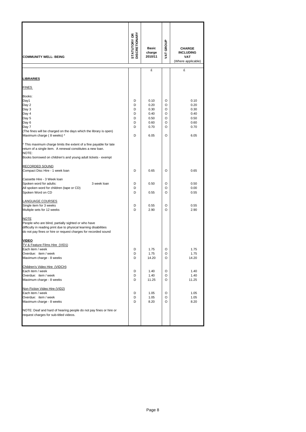| <b>COMMUNITY WELL- BEING</b>                                                                                                                                                                                                                                                                                                                                                          | <b>DISCRETIONARY</b><br><b>STATUTORY OR</b> | <b>Basic</b><br>charge<br>2010/11                            | VAT GROUP                            | <b>CHARGE</b><br><b>INCLUDING</b><br><b>VAT</b><br>(Where applicable) |
|---------------------------------------------------------------------------------------------------------------------------------------------------------------------------------------------------------------------------------------------------------------------------------------------------------------------------------------------------------------------------------------|---------------------------------------------|--------------------------------------------------------------|--------------------------------------|-----------------------------------------------------------------------|
|                                                                                                                                                                                                                                                                                                                                                                                       |                                             | £                                                            |                                      | £                                                                     |
| <u>LIBRARIES</u>                                                                                                                                                                                                                                                                                                                                                                      |                                             |                                                              |                                      |                                                                       |
| <b>FINES</b>                                                                                                                                                                                                                                                                                                                                                                          |                                             |                                                              |                                      |                                                                       |
| Books:<br>Day1<br>Day 2<br>Day 3<br>Day 4<br>Day 5<br>Day 6<br>Day 7<br>(The fines will be charged on the days which the library is open)<br>Maximum charge (8 weeks) *<br>* This maximum charge limits the extent of a fine payable for late<br>return of a single item. A renewal constitutes a new loan.<br>NOTE:<br>Books borrowed on children's and young adult tickets - exempt | D<br>D<br>D<br>D<br>D<br>D<br>D<br>D        | 0.10<br>0.20<br>0.30<br>0.40<br>0.50<br>0.60<br>0.70<br>6.05 | O<br>O<br>O<br>O<br>O<br>O<br>O<br>O | 0.10<br>0.20<br>0.30<br>0.40<br>0.50<br>0.60<br>0.70<br>6.05          |
| RECORDED SOUND<br>Compact Disc Hire - 1 week loan                                                                                                                                                                                                                                                                                                                                     | D                                           | 0.65                                                         | O                                    | 0.65                                                                  |
| Cassette Hire - 3 Week loan<br>Spoken word for adults:<br>3 week loan<br>All spoken word for children (tape or CD)<br>Spoken Word on CD                                                                                                                                                                                                                                               | D<br>D<br>D                                 | 0.50<br>0.55                                                 | O<br>O<br>O                          | 0.50<br>0.00<br>0.55                                                  |
| <u>LANGUAGE COURSES</u><br>Single item for 3 weeks<br>Multiple sets for 12 weeks                                                                                                                                                                                                                                                                                                      | D<br>D                                      | 0.55<br>2.90                                                 | O<br>$\Omega$                        | 0.55<br>2.90                                                          |
| <b>NOTE</b><br>People who are blind, partially sighted or who have<br>difficulty in reading print due to physical learning disabilities<br>do not pay fines or hire or request charges for recorded sound<br>VIDEO                                                                                                                                                                    |                                             |                                                              |                                      |                                                                       |
| <b>TV &amp; Feature Films Hire (VID1)</b><br>Each item / week<br>Overdue: ttem / week<br>Maximum charge - 8 weeks                                                                                                                                                                                                                                                                     | D<br>υ<br>D                                 | 1.75<br>1.75<br>14.20                                        | O<br>O<br>O                          | 1.75<br>1.75<br>14.20                                                 |
| Children's Video Hire (VIDCH)<br>Each item / week<br>Overdue: item / week<br>Maximum charge - 8 weeks                                                                                                                                                                                                                                                                                 | D<br>D<br>D                                 | 1.40<br>1.40<br>11.25                                        | O<br>O<br>O                          | 1.40<br>1.40<br>11.25                                                 |
| Non Fiction Video Hire (VID2)<br>Each item / week<br>Overdue: item / week<br>Maximum charge - 8 weeks<br>NOTE: Deaf and hard of hearing people do not pay fines or hire or<br>request charges for sub-titled videos.                                                                                                                                                                  | D<br>D<br>D                                 | 1.05<br>1.05<br>8.20                                         | O<br>O<br>O                          | 1.05<br>1.05<br>8.20                                                  |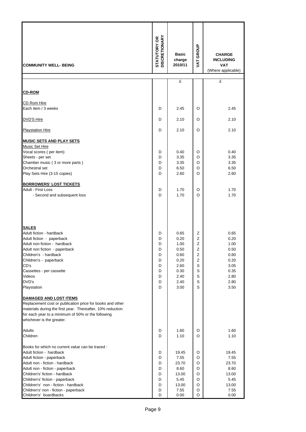| <b>COMMUNITY WELL- BEING</b>                                                                                                                                                                                                                                                                                                                                                                                                                                                      | <b>DISCRETIONARY</b><br>STATUTORY OR                | <b>Basic</b><br>charge<br>2010/11                                                    | VAT GROUP                                                     | <b>CHARGE</b><br><b>INCLUDING</b><br><b>VAT</b><br>(Where applicable)                |
|-----------------------------------------------------------------------------------------------------------------------------------------------------------------------------------------------------------------------------------------------------------------------------------------------------------------------------------------------------------------------------------------------------------------------------------------------------------------------------------|-----------------------------------------------------|--------------------------------------------------------------------------------------|---------------------------------------------------------------|--------------------------------------------------------------------------------------|
|                                                                                                                                                                                                                                                                                                                                                                                                                                                                                   |                                                     | £                                                                                    |                                                               | £                                                                                    |
| <b>CD-ROM</b>                                                                                                                                                                                                                                                                                                                                                                                                                                                                     |                                                     |                                                                                      |                                                               |                                                                                      |
|                                                                                                                                                                                                                                                                                                                                                                                                                                                                                   |                                                     |                                                                                      |                                                               |                                                                                      |
| CD Rom Hire                                                                                                                                                                                                                                                                                                                                                                                                                                                                       |                                                     |                                                                                      |                                                               |                                                                                      |
| Each item / 3 weeks                                                                                                                                                                                                                                                                                                                                                                                                                                                               | D                                                   | 2.45                                                                                 | O                                                             | 2.45                                                                                 |
| DVD'S Hire                                                                                                                                                                                                                                                                                                                                                                                                                                                                        | D                                                   | 2.10                                                                                 | O                                                             | 2.10                                                                                 |
| <b>Playstation Hire</b>                                                                                                                                                                                                                                                                                                                                                                                                                                                           | D                                                   | 2.10                                                                                 | O                                                             | 2.10                                                                                 |
| <b>MUSIC SETS AND PLAY SETS</b>                                                                                                                                                                                                                                                                                                                                                                                                                                                   |                                                     |                                                                                      |                                                               |                                                                                      |
| <b>Music Set Hire</b><br>Vocal scores (per item)<br>Sheets - per set<br>Chamber music (3 or more parts)<br>Orchestral set<br>Play Sets Hire (3-15 copies)                                                                                                                                                                                                                                                                                                                         | D<br>D<br>D<br>D<br>D                               | 0.40<br>3.35<br>3.35<br>6.50<br>2.60                                                 | O<br>O<br>O<br>O<br>O                                         | 0.40<br>3.35<br>3.35<br>6.50<br>2.60                                                 |
| <b>BORROWERS' LOST TICKETS</b><br>Adult - First Loss<br>- Second and subsequent loss                                                                                                                                                                                                                                                                                                                                                                                              | D<br>D                                              | 1.70<br>1.70                                                                         | O<br>O                                                        | 1.70<br>1.70                                                                         |
| <b>SALES</b><br>Adult fiction - hardback<br>Adult fiction - paperback<br>Adult non fiction - hardback<br>Adult non fiction - paperback<br>Children's - hardback<br>Children's - paperback<br>CD's<br>Cassettes - per cassette<br>Videos<br>DVD's<br>Playstation<br><b>DAMAGED AND LOST ITEMS</b><br>Replacement cost or publication price for books and other<br>materials during the first year. Thereafter, 10% reduction<br>for each year to a minimum of 50% or the following | D<br>D<br>D<br>D<br>D<br>D<br>D<br>D<br>D<br>D<br>D | 0.65<br>0.20<br>1.00<br>0.50<br>0.60<br>0.20<br>2.60<br>0.30<br>2.40<br>2.40<br>3.00 | Ζ<br>Z<br>Ζ<br>Z<br>Ζ<br>Z<br>S<br>S<br>$\mathbb S$<br>S<br>S | 0.65<br>0.20<br>1.00<br>0.50<br>0.60<br>0.20<br>3.05<br>0.35<br>2.80<br>2.80<br>3.50 |
| whichever is the greater.<br><b>Adults</b><br>Children<br>Books for which no current value can be traced :<br>Adult fiction - hardback<br>Adult fiction - paperback<br>Adult non - fiction - hardback<br>Adult non - fiction - paperback<br>Children's' fiction - hardback<br>Children's' fiction - paperback                                                                                                                                                                     | D<br>D<br>D<br>D<br>D<br>D<br>D<br>D                | 1.60<br>1.10<br>19.45<br>7.55<br>23.70<br>8.60<br>13.00<br>5.45                      | O<br>O<br>O<br>O<br>O<br>O<br>O<br>O                          | 1.60<br>1.10<br>19.45<br>7.55<br>23.70<br>8.60<br>13.00<br>5.45                      |
| Children's' non - fiction - hardback<br>Children's' non - fiction - paperback<br>Children's' boardbacks                                                                                                                                                                                                                                                                                                                                                                           | D<br>D<br>D                                         | 13.00<br>7.55<br>0.00                                                                | O<br>O<br>O                                                   | 13.00<br>7.55<br>0.00                                                                |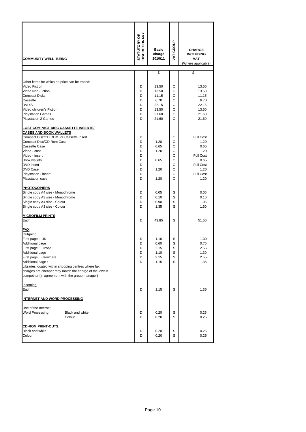| <b>COMMUNITY WELL- BEING</b>                        |                                                        | <b>STATUTORY OR<br/>DISCRETIONARY</b> | <b>Basic</b><br>charge<br>2010/11 | VAT GROUP | <b>CHARGE</b><br><b>INCLUDING</b><br><b>VAT</b><br>(Where applicable) |
|-----------------------------------------------------|--------------------------------------------------------|---------------------------------------|-----------------------------------|-----------|-----------------------------------------------------------------------|
|                                                     |                                                        |                                       |                                   |           |                                                                       |
|                                                     |                                                        |                                       | £                                 |           | £                                                                     |
| Other items for which no price can be traced:       |                                                        |                                       |                                   |           |                                                                       |
| Video Fiction                                       |                                                        | D                                     | 13.50                             | O         | 13.50                                                                 |
| Video Non-Fiction                                   |                                                        | D                                     | 13.50                             | O         | 13.50                                                                 |
| <b>Compact Disks</b>                                |                                                        | D                                     | 11.15                             | O         | 11.15                                                                 |
| Cassette                                            |                                                        | D                                     | 6.70                              | O         | 6.70                                                                  |
| DVD'S                                               |                                                        | D                                     | 22.15                             | O         | 22.15                                                                 |
| Video children's Fiction                            |                                                        | D                                     | 13.50                             | O         | 13.50                                                                 |
| <b>Playstation Games</b>                            |                                                        | D                                     | 21.60                             | O         | 21.60                                                                 |
| <b>Playstation 2 Games</b>                          |                                                        | D                                     | 21.60                             | O         | 21.60                                                                 |
| <u>LOST COMPACT DISC CASSETTE INSERTS/</u>          |                                                        |                                       |                                   |           |                                                                       |
| <b>CASES AND BOOK WALLETS</b>                       |                                                        |                                       |                                   |           |                                                                       |
| Compact Disc/CD ROM or Cassette Insert              |                                                        | D                                     |                                   | O         | <b>Full Cost</b>                                                      |
| Compact Disc/CD Rom Case                            |                                                        | D                                     | 1.20                              | O         | 1.20                                                                  |
| Cassette Case                                       |                                                        | D                                     | 0.65                              | O         | 0.65                                                                  |
| Video - case                                        |                                                        | D                                     | 1.20                              | O         | 1.20                                                                  |
| Video - insert                                      |                                                        | D                                     |                                   | O         | <b>Full Cost</b>                                                      |
| <b>Book wallets</b>                                 |                                                        | D                                     | 0.65                              | O         | 0.65                                                                  |
| <b>DVD</b> insert                                   |                                                        | D                                     |                                   | O         | <b>Full Cost</b>                                                      |
| <b>DVD Case</b>                                     |                                                        | D                                     | 1.20                              | O         | 1.20                                                                  |
| Playstation - insert                                |                                                        | D<br>D                                | 1.20                              | O<br>O    | <b>Full Cost</b><br>1.20                                              |
| Playstation case                                    |                                                        |                                       |                                   |           |                                                                       |
| <b>PHOTOCOPIERS</b>                                 |                                                        |                                       |                                   |           |                                                                       |
| Single copy A4 size - Monochrome                    |                                                        | D                                     | 0.05                              | S         | 0.05                                                                  |
| Single copy A3 size - Monochrome                    |                                                        | D                                     | 0.10                              | S         | 0.10                                                                  |
| Single copy A4 size - Colour                        |                                                        | D                                     | 0.90                              | S         | 1.05                                                                  |
| Single copy A3 size - Colour                        |                                                        | D                                     | 1.35                              | S         | 1.60                                                                  |
|                                                     |                                                        |                                       |                                   |           |                                                                       |
| <b>MICROFILM PRINTS</b>                             |                                                        | D                                     | 43.85                             | S         | 51.50                                                                 |
| Each                                                |                                                        |                                       |                                   |           |                                                                       |
| <u>FAX</u>                                          |                                                        |                                       |                                   |           |                                                                       |
| <b>Outgoing</b>                                     |                                                        |                                       |                                   |           |                                                                       |
| First page: UK                                      |                                                        | D                                     | 1.10                              | S         | 1.30                                                                  |
| Additional page                                     |                                                        | D                                     | 0.60                              | S         | 0.70                                                                  |
| First page : Europe                                 |                                                        | υ                                     | 2.15                              | S         | 2.55                                                                  |
| Additional page                                     |                                                        | D                                     | 1.10                              | S         | 1.30                                                                  |
| First page: Elsewhere                               |                                                        | D                                     | 2.15                              | S         | 2.55                                                                  |
| Additional page:                                    |                                                        | D                                     | 1.15                              | S         | 1.35                                                                  |
| Libraries located within shopping centres where fax |                                                        |                                       |                                   |           |                                                                       |
|                                                     | charges are cheaper may match the charge of the lowest |                                       |                                   |           |                                                                       |
| competitor (in agreement with the group manager)    |                                                        |                                       |                                   |           |                                                                       |
| Incoming                                            |                                                        |                                       |                                   |           |                                                                       |
| Each                                                |                                                        | D                                     | 1.15                              | S         | 1.35                                                                  |
|                                                     |                                                        |                                       |                                   |           |                                                                       |
| <b>INTERNET AND WORD PROCESSING</b>                 |                                                        |                                       |                                   |           |                                                                       |
| Use of the Internet                                 |                                                        |                                       |                                   |           |                                                                       |
| Word Processing:                                    | Black and white                                        | D                                     | 0.20                              | S         | 0.25                                                                  |
|                                                     | Colour                                                 | D                                     | 0.20                              | S         | 0.25                                                                  |
|                                                     |                                                        |                                       |                                   |           |                                                                       |
| <b>CD-ROM PRINT-OUTS:</b>                           |                                                        |                                       |                                   |           |                                                                       |
| <b>Black and white</b>                              |                                                        | D                                     | 0.20                              | S         | 0.25                                                                  |
| Colour                                              |                                                        | D                                     | 0.20                              | S         | 0.25                                                                  |
|                                                     |                                                        |                                       |                                   |           |                                                                       |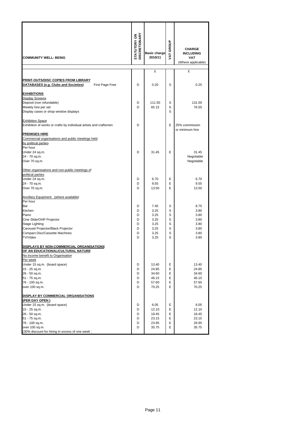| <b>COMMUNITY WELL- BEING</b>                                                                   | <b>DISCRETIONARY</b><br><b>STATUTORY OR</b> | <b>Basic charge</b><br>2010/11 | GROUP<br>Š | <b>CHARGE</b><br><b>INCLUDING</b><br><b>VAT</b><br>(Where applicable) |
|------------------------------------------------------------------------------------------------|---------------------------------------------|--------------------------------|------------|-----------------------------------------------------------------------|
|                                                                                                |                                             | £                              |            | £                                                                     |
| PRINT-OUTS/DISC COPIES FROM LIBRARY<br>DATABASES (e.g. Clubs and Societies)<br>First Page Free | D                                           | 0.20                           | S          | 0.25                                                                  |
| <b>EXHIBITIONS</b>                                                                             |                                             |                                |            |                                                                       |
| <b>Display Screens</b>                                                                         |                                             |                                |            |                                                                       |
| Deposit (non refundable)                                                                       | D<br>D                                      | 111.50<br>65.15                | S<br>S     | 131.00<br>76.55                                                       |
| Weekly hire per set<br>Display cases or shop window displays                                   |                                             |                                | S          |                                                                       |
| <b>Exhibition Space</b>                                                                        |                                             |                                |            |                                                                       |
| Exhibition of works or crafts by individual artists and craftsmen                              | D                                           |                                | E          | 25% commission                                                        |
| <b>PREMISES HIRE</b>                                                                           |                                             |                                |            | or minimum hire                                                       |
| Commercial organisations and public meetings held                                              |                                             |                                |            |                                                                       |
| by political parties                                                                           |                                             |                                |            |                                                                       |
| Per hour                                                                                       |                                             |                                |            |                                                                       |
| Under 24 sq.m.<br>24 - 70 sq.m.                                                                | D                                           | 31.45                          | E          | 31.45<br>Negotiable                                                   |
| Over 70 sq.m.                                                                                  |                                             |                                |            | Negotiable                                                            |
| Other organisations and non-public meetings of                                                 |                                             |                                |            |                                                                       |
| political parties                                                                              |                                             |                                |            |                                                                       |
| Under 24 sq.m.                                                                                 | D                                           | 6.70                           | E          | 6.70                                                                  |
| 24 - 70 sq.m.                                                                                  | D                                           | 9.55                           | E          | 9.55                                                                  |
| Over 70 sq.m.                                                                                  | D                                           | 13.50                          | E          | 13.50                                                                 |
| Ancillary Equipment (where available)                                                          |                                             |                                |            |                                                                       |
| Per hour                                                                                       |                                             |                                |            |                                                                       |
| Bar                                                                                            | D<br>D                                      | 7.45                           | S<br>S     | 8.75                                                                  |
| Kitchen<br>Piano                                                                               | D                                           | 3.25<br>3.25                   | S          | 3.80<br>3.80                                                          |
| Cine Slide/OHP Projector                                                                       | D                                           | 3.25                           | S          | 3.80                                                                  |
| Stage Lighting                                                                                 | D                                           | 3.25                           | S          | 3.80                                                                  |
| Carousel Projector/Black Projector                                                             | D                                           | 3.25                           | S          | 3.80                                                                  |
| <b>Compact Disc/Cassette Machines</b><br>TV/Video                                              | D<br>D                                      | 3.25<br>3.25                   | S<br>S     | 3.80<br>3.80                                                          |
|                                                                                                |                                             |                                |            |                                                                       |
| DISPLAYS BY NON-COMMERCIAL ORGANISATIONS<br>OF AN EDUCATIONAL/CULTURAL NATURE                  |                                             |                                |            |                                                                       |
| No income benefit to Organisation                                                              |                                             |                                |            |                                                                       |
| Per week                                                                                       |                                             |                                |            |                                                                       |
| Under 15 sq.m. (board space)                                                                   | D                                           | 13.40                          | Е          | 13.40                                                                 |
| 15 - 25 sq.m.                                                                                  | D                                           | 24.85                          | Е          | 24.85                                                                 |
| 26 - 50 sq.m.                                                                                  | D                                           | 34.60                          | Е          | 34.60                                                                 |
| 51 - 75 sq.m.                                                                                  | D                                           | 46.15                          | E          | 46.15<br>57.60                                                        |
| 76 - 100 sq.m.<br>over 100 sq.m.                                                               | D<br>D                                      | 57.60<br>70.25                 | E<br>E     | 70.25                                                                 |
|                                                                                                |                                             |                                |            |                                                                       |
| DISPLAY BY COMMERCIAL ORGANISATIONS<br>(PER DAY OPEN )                                         |                                             |                                |            |                                                                       |
| Under 15 sq.m. (board space)                                                                   | D                                           | 6.05                           | Е          | 6.05                                                                  |
| 15 - 25 sq.m.                                                                                  | D                                           | 12.10                          | E          | 12.10                                                                 |
| 26 - 50 sq.m.                                                                                  | D                                           | 18.45                          | E          | 18.45                                                                 |
| 51 - 75 sq.m.                                                                                  | D                                           | 23.15                          | E          | 23.15                                                                 |
| 76 - 100 sq.m.<br>over 100 sq.m.                                                               | D<br>D                                      | 23.95<br>35.75                 | Е<br>E     | 29.95<br>35.75                                                        |
| (30% discount for hiring in excess of one week)                                                |                                             |                                |            |                                                                       |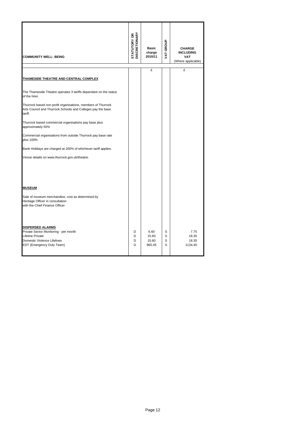| <b>COMMUNITY WELL- BEING</b>                                                                                                                            | <b>STATUTORY OR<br/>DISCRETIONARY</b> | <b>Basic</b><br>charge<br>2010/11 | VAT GROUP        | <b>CHARGE</b><br><b>INCLUDING</b><br>VAT<br>(Where applicable) |
|---------------------------------------------------------------------------------------------------------------------------------------------------------|---------------------------------------|-----------------------------------|------------------|----------------------------------------------------------------|
|                                                                                                                                                         |                                       | £                                 |                  | £                                                              |
| THAMESIDE THEATRE AND CENTRAL COMPLEX                                                                                                                   |                                       |                                   |                  |                                                                |
| The Thameside Theatre operates 3 tariffs dependant on the status<br>of the hirer.                                                                       |                                       |                                   |                  |                                                                |
| Thurrock based non profit organisations, members of Thurrock<br>Arts Council and Thurrock Schools and Colleges pay the base<br>tariff.                  |                                       |                                   |                  |                                                                |
| Thurrock based commercial organisations pay base plus<br>approximately 50%                                                                              |                                       |                                   |                  |                                                                |
| Commercial organisations from outside Thurrock pay base rate<br>plus 100%.                                                                              |                                       |                                   |                  |                                                                |
| Bank Holidays are charged at 200% of whichever tariff applies.                                                                                          |                                       |                                   |                  |                                                                |
| Venue details on www.thurrock.gov.uk/theatre.                                                                                                           |                                       |                                   |                  |                                                                |
| <b>MUSEUM</b>                                                                                                                                           |                                       |                                   |                  |                                                                |
| Sale of museum merchandise, cost as determined by<br>Heritage Officer in consultation<br>with the Chief Finance Officer                                 |                                       |                                   |                  |                                                                |
| <b>DISPERSED ALARMS</b><br>Private Sector Monitoring - per month<br><b>Lifeline Private</b><br>Domestic Violence Lifelines<br>EDT (Emergency Duty Team) | D<br>D<br>D<br>D                      | 6.60<br>15.60<br>15.60<br>965.45  | S<br>S<br>S<br>S | 7.75<br>18.35<br>18.35<br>1134.40                              |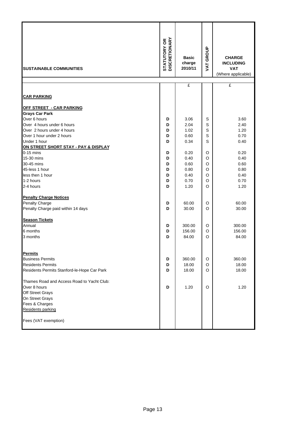| <b>SUSTAINABLE COMMUNITIES</b>              | <b>STATUTORY OR<br/>DISCRETIONARY</b> | <b>Basic</b><br>charge<br>2010/11 | <b>VAT GROUP</b> | <b>CHARGE</b><br><b>INCLUDING</b><br><b>VAT</b><br>(Where applicable) |
|---------------------------------------------|---------------------------------------|-----------------------------------|------------------|-----------------------------------------------------------------------|
|                                             |                                       | £                                 |                  | £                                                                     |
| <b>CAR PARKING</b>                          |                                       |                                   |                  |                                                                       |
| <u> OFF STREET - CAR PARKING</u>            |                                       |                                   |                  |                                                                       |
| <b>Grays Car Park</b>                       |                                       |                                   |                  |                                                                       |
| Over 6 hours                                | D                                     | 3.06                              | S                | 3.60                                                                  |
| Over 4 hours under 6 hours                  | D                                     | 2.04                              | S                | 2.40                                                                  |
| Over 2 hours under 4 hours                  | D                                     | 1.02                              | S                | 1.20                                                                  |
| Over 1 hour under 2 hours                   | D                                     | 0.60                              | S                | 0.70                                                                  |
| Under 1 hour                                | D                                     | 0.34                              | S                | 0.40                                                                  |
| ON STREET SHORT STAY - PAY & DISPLAY        |                                       |                                   |                  |                                                                       |
| $0-15$ mins                                 | D                                     | 0.20                              | O                | 0.20                                                                  |
| 15-30 mins                                  | D                                     | 0.40                              | O                | 0.40                                                                  |
| 30-45 mins                                  | D                                     | 0.60                              | O                | 0.60                                                                  |
| 45-less 1 hour                              | D                                     | 0.80                              | O                | 0.80                                                                  |
| less then 1 hour<br>1-2 hours               | D                                     | 0.40                              | O                | 0.40                                                                  |
| 2-4 hours                                   | D<br>D                                | 0.70<br>1.20                      | O<br>O           | 0.70<br>1.20                                                          |
|                                             |                                       |                                   |                  |                                                                       |
| <b>Penalty Charge Notices</b>               |                                       |                                   |                  |                                                                       |
| Penalty Charge                              | D                                     | 60.00                             | O                | 60.00                                                                 |
| Penalty Charge paid within 14 days          | D                                     | 30.00                             | O                | 30.00                                                                 |
| <b>Season Tickets</b>                       |                                       |                                   |                  |                                                                       |
| Annual                                      | D                                     | 300.00                            | O                | 300.00                                                                |
| 6 months                                    | D                                     | 156.00                            | O                | 156.00                                                                |
| 3 months                                    | D                                     | 84.00                             | O                | 84.00                                                                 |
| <b>Permits</b>                              |                                       |                                   |                  |                                                                       |
| <b>Business Permits</b>                     | D                                     | 360.00                            | O                | 360.00                                                                |
| <b>Residents Permits</b>                    | D                                     | 18.00                             | O                | 18.00                                                                 |
| Residents Permits Stanford-le-Hope Car Park | D                                     | 18.00                             | O                | 18.00                                                                 |
| Thames Road and Access Road to Yacht Club:  |                                       |                                   |                  |                                                                       |
| Over 8 hours                                | D                                     | 1.20                              | O                | 1.20                                                                  |
| Off Street Grays                            |                                       |                                   |                  |                                                                       |
| On Street Grays                             |                                       |                                   |                  |                                                                       |
| Fees & Charges                              |                                       |                                   |                  |                                                                       |
| Residents parking                           |                                       |                                   |                  |                                                                       |
| Fees (VAT exemption)                        |                                       |                                   |                  |                                                                       |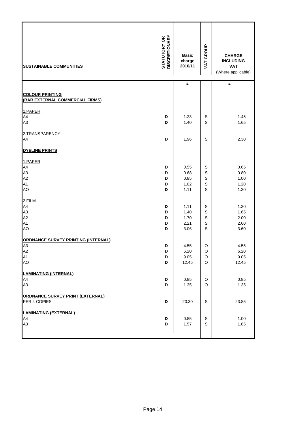| <b>SUSTAINABLE COMMUNITIES</b>                            | <b>STATUTORY OR<br/>DISCRETIONARY</b> | <b>Basic</b><br>charge<br>2010/11 | <b>VAT GROUP</b> | <b>CHARGE</b><br><b>INCLUDING</b><br><b>VAT</b><br>(Where applicable) |
|-----------------------------------------------------------|---------------------------------------|-----------------------------------|------------------|-----------------------------------------------------------------------|
|                                                           |                                       | £                                 |                  | £                                                                     |
| <b>COLOUR PRINTING</b><br>(BAR EXTERNAL COMMERCIAL FIRMS) |                                       |                                   |                  |                                                                       |
| 1.PAPER                                                   |                                       |                                   |                  |                                                                       |
| A4                                                        | D                                     | 1.23                              | S                | 1.45                                                                  |
| A3                                                        | D                                     | 1.40                              | S                | 1.65                                                                  |
| 2.TRANSPARENCY                                            |                                       |                                   |                  |                                                                       |
| A4                                                        | D                                     | 1.96                              | S                | 2.30                                                                  |
| <b>DYELINE PRINTS</b>                                     |                                       |                                   |                  |                                                                       |
| 1.PAPER                                                   |                                       |                                   |                  |                                                                       |
| A4                                                        | D                                     | 0.55                              | S                | 0.65                                                                  |
| A3                                                        | D                                     | 0.68                              | S                | 0.80                                                                  |
| A2                                                        | D                                     | 0.85                              | S                | 1.00                                                                  |
| A1<br>AO                                                  | D<br>D                                | 1.02<br>1.11                      | S<br>S           | 1.20<br>1.30                                                          |
| 2.FILM                                                    |                                       |                                   |                  |                                                                       |
| A4                                                        | D                                     | 1.11                              | S                | 1.30                                                                  |
| A3                                                        | D                                     | 1.40                              | S                | 1.65                                                                  |
| A2                                                        | D                                     | 1.70                              | S                | 2.00                                                                  |
| A1<br>AO                                                  | D<br>D                                | 2.21<br>3.06                      | S<br>S           | 2.60<br>3.60                                                          |
| <b>ORDNANCE SURVEY PRINTING (INTERNAL)</b>                |                                       |                                   |                  |                                                                       |
| A3                                                        | D                                     | 4.55                              | O                | 4.55                                                                  |
| A <sub>2</sub>                                            | D                                     | 6.20                              | $\circ$          | 6.20                                                                  |
| A1                                                        | D                                     | 9.05                              | O                | 9.05                                                                  |
| AO                                                        | D                                     | 12.45                             | O                | 12.45                                                                 |
| <b>LAMINATING (INTERNAL)</b>                              |                                       |                                   |                  |                                                                       |
| A4                                                        | D                                     | 0.85                              | O                | 0.85                                                                  |
| A3                                                        | D                                     | 1.35                              | O                | 1.35                                                                  |
| <b>ORDNANCE SURVEY PRINT (EXTERNAL)</b>                   |                                       |                                   |                  |                                                                       |
| PER 4 COPIES                                              | D                                     | 20.30                             | S                | 23.85                                                                 |
| <b>LAMINATING (EXTERNAL)</b>                              |                                       |                                   |                  |                                                                       |
| A4                                                        | D                                     | 0.85                              | S                | 1.00                                                                  |
| A3                                                        | D                                     | 1.57                              | S                | 1.85                                                                  |
|                                                           |                                       |                                   |                  |                                                                       |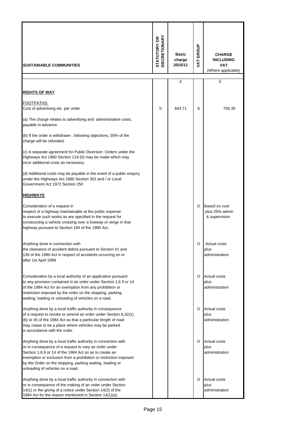| <b>ISUSTAINABLE COMMUNITIES</b>                                                                                                                                                                                                                                                                                                                       | <b>STATUTORY OR<br/>DISCRETIONARY</b> | <b>Basic</b><br>charge<br>2010/11 | VAT GROUP | <b>CHARGE</b><br><b>INCLUDING</b><br><b>VAT</b><br>(Where applicable) |
|-------------------------------------------------------------------------------------------------------------------------------------------------------------------------------------------------------------------------------------------------------------------------------------------------------------------------------------------------------|---------------------------------------|-----------------------------------|-----------|-----------------------------------------------------------------------|
|                                                                                                                                                                                                                                                                                                                                                       |                                       | £                                 |           | £                                                                     |
| <b>RIGHTS OF WAY</b>                                                                                                                                                                                                                                                                                                                                  |                                       |                                   |           |                                                                       |
| <u>FOOTPATHS:</u><br>Cost of advertising etc. per order                                                                                                                                                                                                                                                                                               | S                                     | 643.71                            | S         | 756.35                                                                |
| (a) The charge relates to advertising and administrative costs,<br>payable in advance.                                                                                                                                                                                                                                                                |                                       |                                   |           |                                                                       |
| (b) If the order is withdrawn, following objections, 50% of the<br>charge will be refunded.                                                                                                                                                                                                                                                           |                                       |                                   |           |                                                                       |
| (c) A separate agreement for Public Diversion Orders under the<br>Highways Act 1980 Section 119 (5) may be made which may<br>incur additional costs as necessary.                                                                                                                                                                                     |                                       |                                   |           |                                                                       |
| (d) Additional costs may be payable in the event of a public enquiry<br>under the Highways Act 1980 Section 302 and / or Local<br>Government Act 1972 Section 250                                                                                                                                                                                     |                                       |                                   |           |                                                                       |
| <u>HIGHWAYS</u>                                                                                                                                                                                                                                                                                                                                       |                                       |                                   |           |                                                                       |
| Consideration of a request in<br>respect of a highway maintainable at the public expense<br>to execute such works as are specified in the request for<br>constructing a vehicle crossing over a footway or verge in that<br>highway pursuant to Section 184 of the 1980 Act.                                                                          |                                       |                                   | O         | Based on cost<br>plus 25% admin<br>& supervision                      |
| Anything done in connection with<br>the clearance of accident debris pursuant to Section 41 and<br>130 of the 1980 Act in respect of accidents occurring on or<br>after 1st April 1999                                                                                                                                                                |                                       |                                   | O         | Actual costs<br>plus<br>administration                                |
| Consideration by a local authority of an application pursuant<br>to any provision contained in an order under Section 1,6 9 or 14<br>of the 1984 Act for an exemption from any prohibition or<br>restriction imposed by the order on the stopping, parking,<br>waiting, loading or unloading of vehicles on a road.                                   |                                       |                                   | O         | <b>Actual costs</b><br>plus<br>administration                         |
| Anything done by a local traffic authority in consequence<br>of a request to revoke or amend an order under Section 6,32(1)<br>(b) or 45 of the 1984 Act so that a particular length of road<br>may cease to be a place where vehicles may be parked<br>in accordance with the order.                                                                 |                                       |                                   | O         | <b>Actual costs</b><br>plus<br>administration                         |
| Anything done by a local traffic authority in connection with<br>or in consequence of a request to vary an order under<br>Section 1,6,9 or 14 of the 1984 Act so as to create an<br>exemption or exclusion from a prohibition or restriction imposed<br>by the Order on the stopping, parking waiting, loading or<br>unloading of vehicles on a road. |                                       |                                   | O         | <b>Actual costs</b><br>plus<br>administration                         |
| Anything done by a local traffic authority in connection with<br>or in consequence of the making of an order under Section<br>14(1) or the giving of a notice under Section 14(2) of the<br>1984 Act for the reason mentioned in Section 14(1)(a).                                                                                                    |                                       |                                   | O         | <b>Actual costs</b><br>plus<br>administration                         |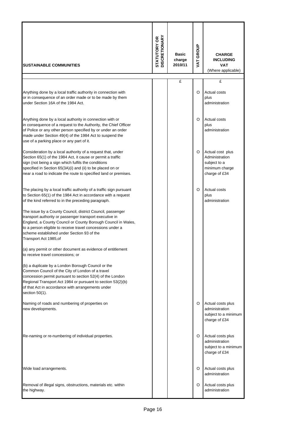| <b>SUSTAINABLE COMMUNITIES</b>                                                                                                                                                                                                                                                                                               | <b>DISCRETIONARY</b><br>STATUTORY OR | <b>Basic</b><br>charge<br>2010/11 | VAT GROUP | <b>CHARGE</b><br><b>INCLUDING</b><br><b>VAT</b><br>(Where applicable)                 |
|------------------------------------------------------------------------------------------------------------------------------------------------------------------------------------------------------------------------------------------------------------------------------------------------------------------------------|--------------------------------------|-----------------------------------|-----------|---------------------------------------------------------------------------------------|
|                                                                                                                                                                                                                                                                                                                              |                                      | £                                 |           | £                                                                                     |
| Anything done by a local traffic authority in connection with<br>or in consequence of an order made or to be made by them<br>under Section 16A of the 1984 Act.                                                                                                                                                              |                                      |                                   | O         | Actual costs<br>plus<br>administration                                                |
| Anything done by a local authority in connection with or<br>in consequence of a request to the Authority, the Chief Officer<br>of Police or any other person specified by or under an order<br>made under Section 49(4) of the 1984 Act to suspend the<br>use of a parking place or any part of it.                          |                                      |                                   | O         | Actual costs<br>plus<br>administration                                                |
| Consideration by a local authority of a request that, under<br>Section 65(1) of the 1984 Act, it cause or permit a traffic<br>sign (not being a sign which fulfils the conditions<br>specified in Section 65(3A)(i) and (ii) to be placed on or<br>near a road to indicate the route to specified land or premises.          |                                      |                                   | O         | Actual cost plus<br>Administration<br>subject to a<br>minimum charge<br>charge of £34 |
| The placing by a local traffic authority of a traffic sign pursuant<br>to Section 65(1) of the 1984 Act in accordance with a request<br>of the kind referred to in the preceding paragraph.                                                                                                                                  |                                      |                                   | O         | Actual costs<br>plus<br>administration                                                |
| The issue by a County Council, district Council, passenger<br>transport authority or passenger transport executive in<br>England, a County Council or County Borough Council in Wales,<br>to a person eligible to receive travel concessions under a<br>scheme established under Section 93 of the<br>Transport Act 1985, of |                                      |                                   |           |                                                                                       |
| (a) any permit or other document as evidence of entitlement<br>to receive travel concessions; or                                                                                                                                                                                                                             |                                      |                                   |           |                                                                                       |
| (b) a duplicate by a London Borough Council or the<br>Common Council of the City of London of a travel<br>concession permit pursuant to section 52(4) of the London<br>Regional Transport Act 1984 or pursuant to section 53(2)(b)<br>of that Act in accordance with arrangements under<br>section $50(1)$ .                 |                                      |                                   |           |                                                                                       |
| Naming of roads and numbering of properties on<br>new developments.                                                                                                                                                                                                                                                          |                                      |                                   | O         | Actual costs plus<br>administration<br>subject to a minimum<br>charge of £34          |
| Re-naming or re-numbering of individual properties.                                                                                                                                                                                                                                                                          |                                      |                                   | O         | Actual costs plus<br>administration<br>subject to a minimum<br>charge of £34          |
| Wide load arrangements.                                                                                                                                                                                                                                                                                                      |                                      |                                   | O         | Actual costs plus<br>administration                                                   |
| Removal of illegal signs, obstructions, materials etc. within<br>the highway.                                                                                                                                                                                                                                                |                                      |                                   | O         | Actual costs plus<br>administration                                                   |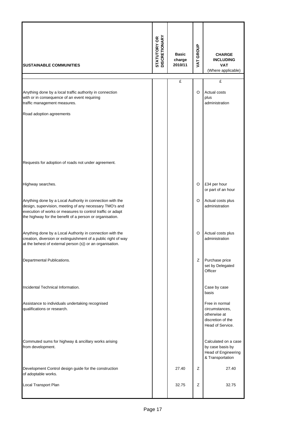| <b>SUSTAINABLE COMMUNITIES</b>                                                                                                                                                                                                                 | <b>STATUTORY OR<br/>DISCRETIONARY</b> | <b>Basic</b><br>charge<br>2010/11 | VAT GROUP | <b>CHARGE</b><br><b>INCLUDING</b><br><b>VAT</b><br>(Where applicable)                     |
|------------------------------------------------------------------------------------------------------------------------------------------------------------------------------------------------------------------------------------------------|---------------------------------------|-----------------------------------|-----------|-------------------------------------------------------------------------------------------|
|                                                                                                                                                                                                                                                |                                       | £                                 |           | £                                                                                         |
| Anything done by a local traffic authority in connection<br>with or in consequence of an event requiring<br>traffic management measures.                                                                                                       |                                       |                                   | O         | Actual costs<br>plus<br>administration                                                    |
| Road adoption agreements                                                                                                                                                                                                                       |                                       |                                   |           |                                                                                           |
| Requests for adoption of roads not under agreement.                                                                                                                                                                                            |                                       |                                   |           |                                                                                           |
| Highway searches.                                                                                                                                                                                                                              |                                       |                                   | O         | £34 per hour<br>or part of an hour                                                        |
| Anything done by a Local Authority in connection with the<br>design, supervision, meeting of any necessary TMO's and<br>execution of works or measures to control traffic or adapt<br>the highway for the benefit of a person or organisation. |                                       |                                   | O         | Actual costs plus<br>administration                                                       |
| Anything done by a Local Authority in connection with the<br>creation, diversion or extinguishment of a public right of way<br>at the behest of external person (s)) or an organisation.                                                       |                                       |                                   | O         | Actual costs plus<br>administration                                                       |
| Departmental Publications.                                                                                                                                                                                                                     |                                       |                                   | z         | Purchase price<br>set by Delegated<br>Officer                                             |
| Incidental Technical Information.                                                                                                                                                                                                              |                                       |                                   |           | Case by case<br>basis                                                                     |
| Assistance to individuals undertaking recognised<br>qualifications or research.                                                                                                                                                                |                                       |                                   |           | Free in normal<br>circumstances,<br>otherwise at<br>discretion of the<br>Head of Service. |
| Commuted sums for highway & ancillary works arising<br>from development.                                                                                                                                                                       |                                       |                                   |           | Calculated on a case<br>by case basis by<br>Head of Engineering<br>& Transportation       |
| Development Control design guide for the construction<br>of adoptable works.                                                                                                                                                                   |                                       | 27.40                             | Z         | 27.40                                                                                     |
| <b>Local Transport Plan</b>                                                                                                                                                                                                                    |                                       | 32.75                             | Ζ         | 32.75                                                                                     |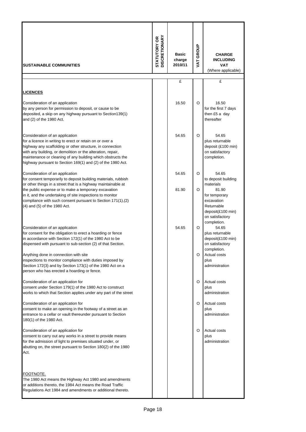| <b>SUSTAINABLE COMMUNITIES</b>                                                                                                                                                                                                                                                                                                                                                                                                            | <b>DISCRETIONARY</b><br>STATUTORY OR | <b>Basic</b><br>charge<br>2010/11 | VAT GROUP | <b>CHARGE</b><br><b>INCLUDING</b><br><b>VAT</b><br>(Where applicable)                                                     |
|-------------------------------------------------------------------------------------------------------------------------------------------------------------------------------------------------------------------------------------------------------------------------------------------------------------------------------------------------------------------------------------------------------------------------------------------|--------------------------------------|-----------------------------------|-----------|---------------------------------------------------------------------------------------------------------------------------|
|                                                                                                                                                                                                                                                                                                                                                                                                                                           |                                      | £                                 |           | £                                                                                                                         |
| <b>LICENCES</b>                                                                                                                                                                                                                                                                                                                                                                                                                           |                                      |                                   |           |                                                                                                                           |
| Consideration of an application<br>by any person for permission to deposit, or cause to be<br>deposited, a skip on any highway pursuant to Section139(1)<br>and (2) of the 1980 Act.                                                                                                                                                                                                                                                      |                                      | 16.50                             | O         | 16.50<br>for the first 7 days<br>then £5 a day<br>thereafter                                                              |
| Consideration of an application<br>for a licence in writing to erect or retain on or over a<br>highway any scaffolding or other structure, in connection<br>with any building, or demolition or the alteration, repair,<br>maintenance or cleaning of any building which obstructs the<br>highway pursuant to Section 169(1) and (2) of the 1980 Act.                                                                                     |                                      | 54.65                             | O         | 54.65<br>plus returnable<br>deposit (£100 min)<br>on satisfactory<br>completion.                                          |
| Consideration of an application<br>for consent temporarily to deposit building materials, rubbish<br>or other things in a street that is a highway maintainable at                                                                                                                                                                                                                                                                        |                                      | 54.65                             | O         | 54.65<br>to deposit building<br>materials                                                                                 |
| the public expense or to make a temporary excavation<br>in it, and the undertaking of site inspections to monitor<br>compliance with such consent pursuant to Section 171(1), (2)<br>(4) and (5) of the 1980 Act.                                                                                                                                                                                                                         |                                      | 81.90                             | O         | 81.90<br>for temporary<br>excavation<br>Returnable<br>deposit(£100 min)<br>on satisfactory<br>completion.                 |
| Consideration of an application<br>for consent for the obligation to erect a hoarding or fence<br>in accordance with Section 172(1) of the 1980 Act to be<br>dispensed with pursuant to sub-section (2) of that Section.<br>Anything done in connection with site<br>inspections to monitor compliance with duties imposed by<br>Section 172(3) and by Section 173(1) of the 1980 Act on a<br>person who has erected a hoarding or fence. |                                      | 54.65                             | O<br>O    | 54.65<br>plus returnable<br>deposit(£100 min)<br>on satisfactory<br>completion.<br>Actual costs<br>plus<br>administration |
| Consideration of an application for<br>consent under Section 179(1) of the 1980 Act to construct<br>works to which that Section applies under any part of the street                                                                                                                                                                                                                                                                      |                                      |                                   | O         | Actual costs<br>plus<br>administration                                                                                    |
| Consideration of an application for<br>consent to make an opening in the footway of a street as an<br>entrance to a cellar or vault thereunder pursuant to Section<br>180(1) of the 1980 Act.                                                                                                                                                                                                                                             |                                      |                                   | O         | Actual costs<br>plus<br>administration                                                                                    |
| Consideration of an application for<br>consent to carry out any works in a street to provide means<br>for the admission of light to premises situated under, or<br>abutting on, the street pursuant to Section 180(2) of the 1980<br>Act.                                                                                                                                                                                                 |                                      |                                   | O         | Actual costs<br>plus<br>administration                                                                                    |
| FOOTNOTE.<br>The 1980 Act means the Highway Act 1980 and amendments<br>or additions thereto, the 1984 Act means the Road Traffic<br>Regulations Act 1984 and amendments or additional thereto.                                                                                                                                                                                                                                            |                                      |                                   |           |                                                                                                                           |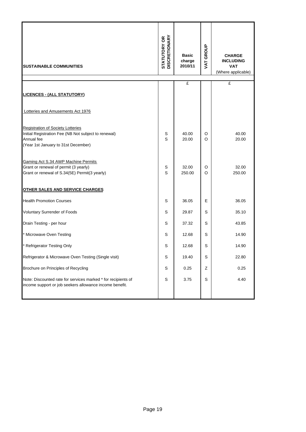| <b>ISUSTAINABLE COMMUNITIES</b>                                                                                                                       | <b>STATUTORY OR<br/>DISCRETIONARY</b> | <b>Basic</b><br>charge<br>2010/11 | VAT GROUP | <b>CHARGE</b><br><b>INCLUDING</b><br><b>VAT</b><br>(Where applicable) |
|-------------------------------------------------------------------------------------------------------------------------------------------------------|---------------------------------------|-----------------------------------|-----------|-----------------------------------------------------------------------|
|                                                                                                                                                       |                                       | £                                 |           | £                                                                     |
| <b>LICENCES - (ALL STATUTORY)</b>                                                                                                                     |                                       |                                   |           |                                                                       |
| Lotteries and Amusements Act 1976                                                                                                                     |                                       |                                   |           |                                                                       |
| <b>Registration of Society Lotteries</b><br>Initial Registration Fee (NB Not subject to renewal)<br>Annual fee<br>(Year 1st January to 31st December) | S<br>S                                | 40.00<br>20.00                    | O<br>O    | 40.00<br>20.00                                                        |
| Gaming Act S.34 AWP Machine Permits<br>Grant or renewal of permit (3 yearly)<br>Grant or renewal of S.34(5E) Permit(3 yearly)                         | S<br>S                                | 32.00<br>250.00                   | O<br>O    | 32.00<br>250.00                                                       |
| OTHER SALES AND SERVICE CHARGES                                                                                                                       |                                       |                                   |           |                                                                       |
| <b>Health Promotion Courses</b>                                                                                                                       | S                                     | 36.05                             | Е         | 36.05                                                                 |
| <b>Voluntary Surrender of Foods</b>                                                                                                                   | S                                     | 29.87                             | S         | 35.10                                                                 |
| Drain Testing - per hour                                                                                                                              | S                                     | 37.32                             | S         | 43.85                                                                 |
| Microwave Oven Testing                                                                                                                                | S                                     | 12.68                             | S         | 14.90                                                                 |
| <b>Refrigerator Testing Only</b>                                                                                                                      | S                                     | 12.68                             | S         | 14.90                                                                 |
| Refrigerator & Microwave Oven Testing (Single visit)                                                                                                  | S                                     | 19.40                             | S         | 22.80                                                                 |
| Brochure on Principles of Recycling                                                                                                                   | S                                     | 0.25                              | Ζ         | 0.25                                                                  |
| Note: Discounted rate for services marked * for recipients of<br>income support or job seekers allowance income benefit.                              | S                                     | 3.75                              | S         | 4.40                                                                  |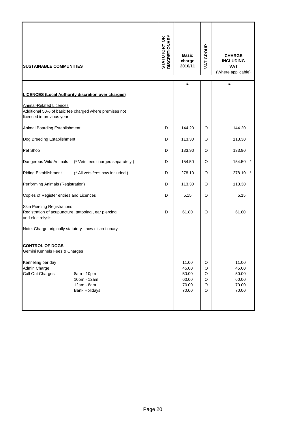| <b>SUSTAINABLE COMMUNITIES</b>                                                                                           | <b>STATUTORY OR<br/>DISCRETIONARY</b> | <b>Basic</b><br>charge<br>2010/11                  | VAT GROUP                  | <b>CHARGE</b><br><b>INCLUDING</b><br><b>VAT</b><br>(Where applicable) |
|--------------------------------------------------------------------------------------------------------------------------|---------------------------------------|----------------------------------------------------|----------------------------|-----------------------------------------------------------------------|
|                                                                                                                          |                                       | £                                                  |                            | £                                                                     |
| <b>LICENCES (Local Authority discretion over charges)</b>                                                                |                                       |                                                    |                            |                                                                       |
| <b>Animal-Related Licences</b><br>Additional 50% of basic fee charged where premises not<br>licensed in previous year    |                                       |                                                    |                            |                                                                       |
| Animal Boarding Establishment                                                                                            | D                                     | 144.20                                             | O                          | 144.20                                                                |
| Dog Breeding Establishment                                                                                               | D                                     | 113.30                                             | O                          | 113.30                                                                |
| Pet Shop                                                                                                                 | D                                     | 133.90                                             | O                          | 133.90                                                                |
| Dangerous Wild Animals<br>(* Vets fees charged separately)                                                               | D                                     | 154.50                                             | O                          | 154.50                                                                |
| <b>Riding Establishment</b><br>(* All vets fees now included)                                                            | D                                     | 278.10                                             | O                          | $\star$<br>278.10                                                     |
| Performing Animals (Registration)                                                                                        | D                                     | 113.30                                             | O                          | 113.30                                                                |
| Copies of Register entries and Licences                                                                                  | D                                     | 5.15                                               | O                          | 5.15                                                                  |
| <b>Skin Piercing Registrations</b><br>Registration of acupuncture, tattooing, ear piercing<br>and electrolysis           | D                                     | 61.80                                              | O                          | 61.80                                                                 |
| Note: Charge originally statutory - now discretionary                                                                    |                                       |                                                    |                            |                                                                       |
| <b>CONTROL OF DOGS</b><br>Gemini Kennels Fees & Charges                                                                  |                                       |                                                    |                            |                                                                       |
| Kenneling per day<br>Admin Charge<br>Call Out Charges<br>8am - 10pm<br>10pm - 12am<br>12am - 8am<br><b>Bank Holidays</b> |                                       | 11.00<br>45.00<br>50.00<br>60.00<br>70.00<br>70.00 | O<br>O<br>O<br>O<br>O<br>O | 11.00<br>45.00<br>50.00<br>60.00<br>70.00<br>70.00                    |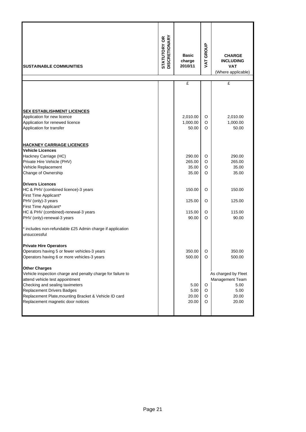| <b>SUSTAINABLE COMMUNITIES</b>                                          | <b>STATUTORY OR<br/>DISCRETIONARY</b> | <b>Basic</b><br>charge<br>2010/11 | VAT GROUP | <b>CHARGE</b><br><b>INCLUDING</b><br><b>VAT</b><br>(Where applicable) |
|-------------------------------------------------------------------------|---------------------------------------|-----------------------------------|-----------|-----------------------------------------------------------------------|
|                                                                         |                                       | £                                 |           | £                                                                     |
|                                                                         |                                       |                                   |           |                                                                       |
| <b>SEX ESTABLISHMENT LICENCES</b>                                       |                                       |                                   |           |                                                                       |
| Application for new licence                                             |                                       | 2,010.00                          | O         | 2,010.00                                                              |
| Application for renewed licence<br>Application for transfer             |                                       | 1,000.00<br>50.00                 | O<br>O    | 1,000.00<br>50.00                                                     |
| <b>HACKNEY CARRIAGE LICENCES</b>                                        |                                       |                                   |           |                                                                       |
| <b>Vehicle Licences</b>                                                 |                                       |                                   |           |                                                                       |
| Hackney Carriage (HC)                                                   |                                       | 290.00                            | O         | 290.00                                                                |
| Private Hire Vehicle (PHV)                                              |                                       | 265.00                            | O         | 265.00                                                                |
| Vehicle Replacement                                                     |                                       | 35.00                             | O         | 35.00                                                                 |
| Change of Ownership                                                     |                                       | 35.00                             | O         | 35.00                                                                 |
| <b>Drivers Licences</b>                                                 |                                       |                                   |           |                                                                       |
| HC & PHV (combined licence)-3 years                                     |                                       | 150.00                            | O         | 150.00                                                                |
| First Time Applicant*                                                   |                                       |                                   |           |                                                                       |
| PHV (only)-3 years                                                      |                                       | 125.00                            | O         | 125.00                                                                |
| First Time Applicant*                                                   |                                       |                                   |           |                                                                       |
| HC & PHV (combined)-renewal-3 years                                     |                                       | 115.00                            | O         | 115.00                                                                |
| PHV (only)-renewal-3 years                                              |                                       | 90.00                             | O         | 90.00                                                                 |
| includes non-refundable £25 Admin charge if application<br>unsuccessful |                                       |                                   |           |                                                                       |
| <b>Private Hire Operators</b>                                           |                                       |                                   |           |                                                                       |
| Operators having 5 or fewer vehicles-3 years                            |                                       | 350.00                            | O         | 350.00                                                                |
| Operators having 6 or more vehicles-3 years                             |                                       | 500.00                            | O         | 500.00                                                                |
| <b>Other Charges</b>                                                    |                                       |                                   |           |                                                                       |
| Vehicle inspection charge and penalty charge for failure to             |                                       |                                   |           | As charged by Fleet                                                   |
| attend vehicle test appointment                                         |                                       |                                   |           | Management Team                                                       |
| Checking and sealing taximeters                                         |                                       | 5.00                              | O         | 5.00                                                                  |
| <b>Replacement Drivers Badges</b>                                       |                                       | 5.00                              | O         | 5.00                                                                  |
| Replacement Plate, mounting Bracket & Vehicle ID card                   |                                       | 20.00                             | O         | 20.00                                                                 |
| Replacement magnetic door notices                                       |                                       | 20.00                             | O         | 20.00                                                                 |
|                                                                         |                                       |                                   |           |                                                                       |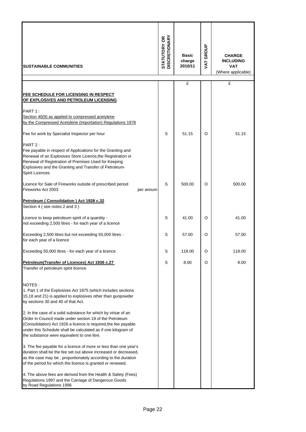| <b>SUSTAINABLE COMMUNITIES</b>                                                                                                                                                                                                                                                                                                                                                                                                                                                                                                                                                                                                                                                                                                                                   | <b>STATUTORY OR<br/>DISCRETIONARY</b> | <b>Basic</b><br>charge<br>2010/11 | <b>VAT GROUP</b> | <b>CHARGE</b><br><b>INCLUDING</b><br><b>VAT</b><br>(Where applicable) |
|------------------------------------------------------------------------------------------------------------------------------------------------------------------------------------------------------------------------------------------------------------------------------------------------------------------------------------------------------------------------------------------------------------------------------------------------------------------------------------------------------------------------------------------------------------------------------------------------------------------------------------------------------------------------------------------------------------------------------------------------------------------|---------------------------------------|-----------------------------------|------------------|-----------------------------------------------------------------------|
|                                                                                                                                                                                                                                                                                                                                                                                                                                                                                                                                                                                                                                                                                                                                                                  |                                       | £                                 |                  | £                                                                     |
| <b>FEE SCHEDULE FOR LICENSING IN RESPECT</b><br>OF EXPLOSIVES AND PETROLEUM LICENSING                                                                                                                                                                                                                                                                                                                                                                                                                                                                                                                                                                                                                                                                            |                                       |                                   |                  |                                                                       |
| PART 1:<br>Section 40(9) as applied to compressed acetylene<br>by the Compressed Acetylene (Importation) Regulations 1978                                                                                                                                                                                                                                                                                                                                                                                                                                                                                                                                                                                                                                        |                                       |                                   |                  |                                                                       |
| Fee for work by Specialist Inspector per hour                                                                                                                                                                                                                                                                                                                                                                                                                                                                                                                                                                                                                                                                                                                    | S                                     | 51.15                             | O                | 51.15                                                                 |
| PART 2:<br>Fee payable in respect of Applications for the Granting and<br>Renewal of an Explosives Store Licence, the Registration or<br>Renewal of Registration of Premises Used for Keeping<br>Explosives and the Granting and Transfer of Petroleum-<br>Spirit Licences                                                                                                                                                                                                                                                                                                                                                                                                                                                                                       |                                       |                                   |                  |                                                                       |
| Licence for Sale of Fireworks outside of prescribed period<br>Fireworks Act 2003<br>per annum                                                                                                                                                                                                                                                                                                                                                                                                                                                                                                                                                                                                                                                                    | S                                     | 500.00                            | O                | 500.00                                                                |
| Petroleum (Consolidation) Act 1928 c.32<br>Section 4 (see notes 2 and 3)                                                                                                                                                                                                                                                                                                                                                                                                                                                                                                                                                                                                                                                                                         |                                       |                                   |                  |                                                                       |
| Licence to keep petroleum spirit of a quantity -<br>not exceeding 2,500 litres - for each year of a licence                                                                                                                                                                                                                                                                                                                                                                                                                                                                                                                                                                                                                                                      | S                                     | 41.00                             | O                | 41.00                                                                 |
| Exceeding 2,500 litres but not exceeding 50,000 litres -<br>for each year of a licence                                                                                                                                                                                                                                                                                                                                                                                                                                                                                                                                                                                                                                                                           | S                                     | 57.00                             | O                | 57.00                                                                 |
| Exceeding 50,000 litres - for each year of a licence                                                                                                                                                                                                                                                                                                                                                                                                                                                                                                                                                                                                                                                                                                             | s                                     | 118.00                            |                  | 118.00                                                                |
| Petroleum(Transfer of Licences) Act 1936 c.27<br>Transfer of petroleum spirit licence                                                                                                                                                                                                                                                                                                                                                                                                                                                                                                                                                                                                                                                                            | S                                     | 8.00                              | O                | 8.00                                                                  |
| NOTES:<br>1. Part 1 of the Explosives Act 1875 (which includes sections<br>15,18 and 21) is applied to explosives other than gunpowder<br>by sections 30 and 40 of that Act.<br>2. In the case of a solid substance for which by virtue of an<br>Order in Council made under section 19 of the Petroleum<br>(Consolidation) Act 1928 a licence is required,the fee payable<br>under this Schedule shall be calculated as if one kilogram of<br>the substance were equivalent to one litre.<br>3. The fee payable for a licence of more or less than one year's<br>duration shall be the fee set out above increased or decreased,<br>as the case may be, proportionately according to the duration<br>of the period for which the licence is granted or renewed. |                                       |                                   |                  |                                                                       |
| 4. The above fees are derived from the Health & Safety (Fees)<br>Regulations 1997 and the Carriage of Dangerous Goods<br>by Road Regulations 1996                                                                                                                                                                                                                                                                                                                                                                                                                                                                                                                                                                                                                |                                       |                                   |                  |                                                                       |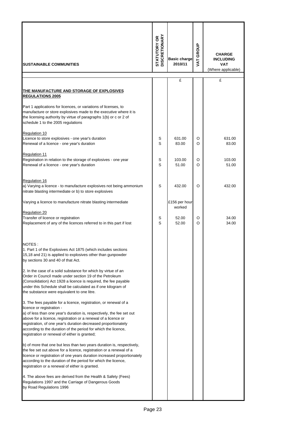| <b>SUSTAINABLE COMMUNITIES</b>                                                                                                                                                                                                                                                                                                                                                                                                | <b>DISCRETIONARY</b><br>STATUTORY OR | <b>Basic charge</b><br>2010/11 | GROUP<br><b>TAT</b> | <b>CHARGE</b><br><b>INCLUDING</b><br><b>VAT</b><br>(Where applicable) |
|-------------------------------------------------------------------------------------------------------------------------------------------------------------------------------------------------------------------------------------------------------------------------------------------------------------------------------------------------------------------------------------------------------------------------------|--------------------------------------|--------------------------------|---------------------|-----------------------------------------------------------------------|
|                                                                                                                                                                                                                                                                                                                                                                                                                               |                                      | £                              |                     | £                                                                     |
| THE MANUFACTURE AND STORAGE OF EXPLOSIVES<br><b>REGULATIONS 2005</b><br>Part 1 applications for licences, or variations of licenses, to                                                                                                                                                                                                                                                                                       |                                      |                                |                     |                                                                       |
| manufacture or store explosives made to the executive where it is<br>the licensing authority by virtue of paragraphs 1(b) or c or 2 of<br>schedule 1 to the 2005 regulations                                                                                                                                                                                                                                                  |                                      |                                |                     |                                                                       |
| <b>Regulation 10</b>                                                                                                                                                                                                                                                                                                                                                                                                          |                                      |                                |                     |                                                                       |
| Licence to store explosives - one year's duration<br>Renewal of a licence - one year's duration                                                                                                                                                                                                                                                                                                                               | S<br>S                               | 631.00<br>83.00                | O<br>O              | 631.00<br>83.00                                                       |
| <b>Regulation 11</b><br>Registration in relation to the storage of explosives - one year<br>Renewal of a licence - one year's duration                                                                                                                                                                                                                                                                                        | S<br>S                               | 103.00<br>51.00                | O<br>O              | 103.00<br>51.00                                                       |
| Regulation 16                                                                                                                                                                                                                                                                                                                                                                                                                 |                                      |                                |                     |                                                                       |
| a) Varying a licence - to manufacture explosives not being ammonium<br>nitrate blasting intermediate or b) to store explosives                                                                                                                                                                                                                                                                                                | S                                    | 432.00                         | O                   | 432.00                                                                |
| Varying a licence to manufacture nitrate blasting intermediate                                                                                                                                                                                                                                                                                                                                                                |                                      | £156 per hour<br>worked        |                     |                                                                       |
| <b>Regulation 20</b><br>Transfer of licence or registration<br>Replacement of any of the licences referred to in this part if lost                                                                                                                                                                                                                                                                                            | S<br>S                               | 52.00<br>52.00                 | O<br>O              | 34.00<br>34.00                                                        |
| NOTES:<br>1. Part 1 of the Explosives Act 1875 (which includes sections<br>15,18 and 21) is applied to explosives other than gunpowder<br>by sections 30 and 40 of that Act.                                                                                                                                                                                                                                                  |                                      |                                |                     |                                                                       |
| 2. In the case of a solid substance for which by virtue of an<br>Order in Council made under section 19 of the Petroleum<br>(Consolidation) Act 1928 a licence is required, the fee payable<br>under this Schedule shall be calculated as if one kilogram of<br>the substance were equivalent to one litre.                                                                                                                   |                                      |                                |                     |                                                                       |
| 3. The fees payable for a licence, registration, or renewal of a<br>licence or registration -<br>a) of less than one year's duration is, respectively, the fee set out<br>above for a licence, registration or a renewal of a licence or<br>registration, of one year's duration decreased proportionately<br>according to the duration of the period for which the licence,<br>registration or renewal of either is granted; |                                      |                                |                     |                                                                       |
| b) of more that one but less than two years duration is, respectively,<br>the fee set out above for a licence, registration or a renewal of a<br>licence or registration of one years duration increased proportionately<br>according to the duration of the period for which the licence,<br>registration or a renewal of either is granted.                                                                                 |                                      |                                |                     |                                                                       |
| 4. The above fees are derived from the Health & Safety (Fees)<br>Regulations 1997 and the Carriage of Dangerous Goods<br>by Road Regulations 1996                                                                                                                                                                                                                                                                             |                                      |                                |                     |                                                                       |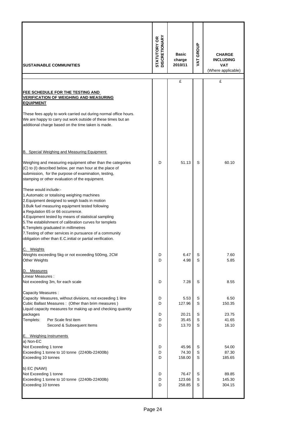| <b>SUSTAINABLE COMMUNITIES</b>                                                                                                                                                                                                                                                                                                                                               | <b>DISCRETIONARY</b><br><b>STATUTORY OR</b> | <b>Basic</b><br>charge<br>2010/11 | GROUP<br>VAT. | <b>CHARGE</b><br><b>INCLUDING</b><br><b>VAT</b><br>(Where applicable) |
|------------------------------------------------------------------------------------------------------------------------------------------------------------------------------------------------------------------------------------------------------------------------------------------------------------------------------------------------------------------------------|---------------------------------------------|-----------------------------------|---------------|-----------------------------------------------------------------------|
|                                                                                                                                                                                                                                                                                                                                                                              |                                             | £                                 |               | £                                                                     |
| FEE SCHEDULE FOR THE TESTING AND<br><b>VERIFICATION OF WEIGHING AND MEASURING</b><br><b>EQUIPMENT</b><br>These fees apply to work carried out during normal office hours.<br>We are happy to carry out work outside of these times but an<br>additional charge based on the time taken is made.                                                                              |                                             |                                   |               |                                                                       |
| B. Special Weighing and Measuring Equipment                                                                                                                                                                                                                                                                                                                                  |                                             |                                   |               |                                                                       |
| Weighing and measuring equipment other than the categories<br>(C) to (I) described below, per man hour at the place of<br>submission, for the purpose of examination, testing,<br>stamping or other evaluation of the equipment.<br>These would include:-<br>1. Automatic or totalising weighing machines<br>2. Equipment designed to weigh loads in motion                  | D                                           | 51.13                             | S             | 60.10                                                                 |
| 3. Bulk fuel measuring equipment tested following<br>a Regulation 65 or 66 occurrence.<br>4. Equipment tested by means of statistical sampling<br>5. The establishment of calibration curves for templets<br>6. Templets graduated in millimetres<br>7. Testing of other services in pursuance of a community<br>obligation other than E.C. initial or partial verification. |                                             |                                   |               |                                                                       |
| C. Weights                                                                                                                                                                                                                                                                                                                                                                   |                                             |                                   |               |                                                                       |
| Weights exceeding 5kg or not exceeding 500mg, 2CM<br><b>Other Weights</b>                                                                                                                                                                                                                                                                                                    | D<br>D                                      | 6.47<br>4.98                      | S<br>S        | 7.60<br>5.85                                                          |
| <b>Measures</b><br>D.                                                                                                                                                                                                                                                                                                                                                        |                                             |                                   |               |                                                                       |
| Linear Measures :<br>Not exceeding 3m, for each scale                                                                                                                                                                                                                                                                                                                        | D                                           | 7.28                              | S             | 8.55                                                                  |
| Capacity Measures :<br>Capacity Measures, without divisions, not exceeding 1 litre<br>Cubic Ballast Measures : (Other than brim measures)<br>Liquid capacity measures for making up and checking quantity                                                                                                                                                                    | D<br>D                                      | 5.53<br>127.96                    | S<br>S        | 6.50<br>150.35                                                        |
| packages<br>Templets:<br>Per Scale first item<br>Second & Subsequent Items                                                                                                                                                                                                                                                                                                   | D<br>D<br>D                                 | 20.21<br>35.45<br>13.70           | S<br>S<br>S   | 23.75<br>41.65<br>16.10                                               |
| E. Weighing Instruments                                                                                                                                                                                                                                                                                                                                                      |                                             |                                   |               |                                                                       |
| a) Non-EC<br>Not Exceeding 1 tonne<br>Exceeding 1 tonne to 10 tonne (2240lb-22400lb)<br>Exceeding 10 tonnes                                                                                                                                                                                                                                                                  | D<br>D<br>D                                 | 45.96<br>74.30<br>158.00          | S<br>S<br>S   | 54.00<br>87.30<br>185.65                                              |
| b) EC (NAWI)<br>Not Exceeding 1 tonne<br>Exceeding 1 tonne to 10 tonne (2240lb-22400lb)<br>Exceeding 10 tonnes                                                                                                                                                                                                                                                               | D<br>D<br>D                                 | 76.47<br>123.66<br>258.85         | S<br>S<br>S   | 89.85<br>145.30<br>304.15                                             |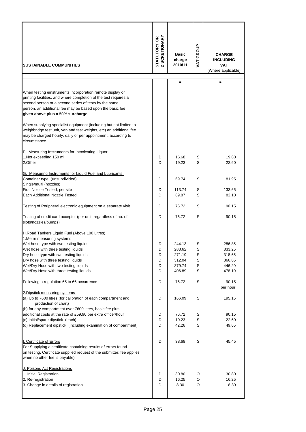| <b>ISUSTAINABLE COMMUNITIES</b>                                                                                                                                                                                                                                                          | <b>STATUTORY OR<br/>DISCRETIONARY</b> | <b>Basic</b><br>charge<br>2010/11 | VAT GROUP | <b>CHARGE</b><br><b>INCLUDING</b><br><b>VAT</b><br>(Where applicable) |
|------------------------------------------------------------------------------------------------------------------------------------------------------------------------------------------------------------------------------------------------------------------------------------------|---------------------------------------|-----------------------------------|-----------|-----------------------------------------------------------------------|
|                                                                                                                                                                                                                                                                                          |                                       | £                                 |           | £                                                                     |
| When testing einstruments incorporation remote display or<br>printing facilities, and where completion of the test requires a<br>second person or a second series of tests by the same<br>person, an additional fee may be based upon the basic fee<br>given above plus a 50% surcharge. |                                       |                                   |           |                                                                       |
| When supplying specialist equipment (including but not limited to<br>weighbridge test unit, van and test weights, etc) an additional fee<br>may be charged hourly, daily or per appointment, according to<br>circumstance.                                                               |                                       |                                   |           |                                                                       |
| F. Measuring Instruments for Intoxicating Liquor                                                                                                                                                                                                                                         |                                       |                                   |           |                                                                       |
| 1.Not exceeding 150 ml<br>2.Other                                                                                                                                                                                                                                                        | D<br>D                                | 16.68<br>19.23                    | S<br>S    | 19.60<br>22.60                                                        |
| G. Measuring Instruments for Liquid Fuel and Lubricants                                                                                                                                                                                                                                  |                                       |                                   |           |                                                                       |
| Container type (unsubdivided)                                                                                                                                                                                                                                                            | D                                     | 69.74                             | S         | 81.95                                                                 |
| Single/multi (nozzles)                                                                                                                                                                                                                                                                   |                                       |                                   |           |                                                                       |
| First Nozzle Tested, per site<br>Each Additional Nozzle Tested                                                                                                                                                                                                                           | D<br>D                                | 113.74<br>69.87                   | S<br>S    | 133.65<br>82.10                                                       |
| Testing of Peripheral electronic equipment on a separate visit                                                                                                                                                                                                                           | D                                     | 76.72                             | S         | 90.15                                                                 |
| Testing of credit card acceptor (per unit, regardless of no. of<br>slots/nozzles/pumps)                                                                                                                                                                                                  | D                                     | 76.72                             | S         | 90.15                                                                 |
| H.Road Tankers Liquid Fuel (Above 100 Litres)<br>1. Metre measuring systems                                                                                                                                                                                                              |                                       |                                   |           |                                                                       |
| Wet hose type with two testing liquids                                                                                                                                                                                                                                                   | D                                     | 244.13                            | S         | 286.85                                                                |
| Wet hose with three testing liquids                                                                                                                                                                                                                                                      | D                                     | 283.62                            | S         | 333.25                                                                |
| Dry hose type with two testing liquids                                                                                                                                                                                                                                                   | D                                     | 271.19                            | S         | 318.65                                                                |
| Dry hose with three testing liquids<br>Wet/Dry Hose with two testing liquids                                                                                                                                                                                                             | D<br>D                                | 312.04<br>379.74                  | S<br>S    | 366.65<br>446.20                                                      |
| Wet/Dry Hose with three testing liquids                                                                                                                                                                                                                                                  | D                                     | 406.89                            | S         | 478.10                                                                |
| Following a regulation 65 to 66 occurrence                                                                                                                                                                                                                                               | D                                     | 76.72                             | S         | 90.15                                                                 |
| 2. Dipstick measuring systems<br>(a) Up to 7600 litres (for calibration of each compartment and                                                                                                                                                                                          | D                                     | 166.09                            | S         | per hour<br>195.15                                                    |
| production of chart)<br>(b) for any compartment over 7600 litres, basic fee plus                                                                                                                                                                                                         |                                       |                                   |           |                                                                       |
| additional costs at the rate of £59.90 per extra officer/hour                                                                                                                                                                                                                            | D                                     | 76.72                             | S         | 90.15                                                                 |
| (c) Initial/spare dipstick (each)                                                                                                                                                                                                                                                        | D                                     | 19.23                             | S         | 22.60                                                                 |
| (d) Replacement dipstick (including examination of compartment)                                                                                                                                                                                                                          | D                                     | 42.26                             | S         | 49.65                                                                 |
| I. Certificate of Errors<br>For Supplying a certificate containing results of errors found<br>on testing. Certificate supplied request of the submitter; fee applies<br>when no other fee is payable)                                                                                    | D                                     | 38.68                             | S         | 45.45                                                                 |
| J. Poisons Act Registrations                                                                                                                                                                                                                                                             |                                       |                                   |           |                                                                       |
| 1. Initial Registration                                                                                                                                                                                                                                                                  | D                                     | 30.80                             | O         | 30.80                                                                 |
| 2. Re-registration<br>3. Change in details of registration                                                                                                                                                                                                                               | D<br>D                                | 16.25<br>8.30                     | O<br>O    | 16.25<br>8.30                                                         |
|                                                                                                                                                                                                                                                                                          |                                       |                                   |           |                                                                       |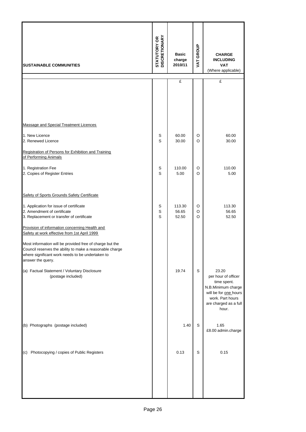| <b>SUSTAINABLE COMMUNITIES</b>                                                                                                                                                                | <b>STATUTORY OR<br/>DISCRETIONARY</b> | <b>Basic</b><br>charge<br>2010/11 | VAT GROUP   | <b>CHARGE</b><br><b>INCLUDING</b><br><b>VAT</b><br>(Where applicable)                                                                            |
|-----------------------------------------------------------------------------------------------------------------------------------------------------------------------------------------------|---------------------------------------|-----------------------------------|-------------|--------------------------------------------------------------------------------------------------------------------------------------------------|
|                                                                                                                                                                                               |                                       | £                                 |             | £                                                                                                                                                |
|                                                                                                                                                                                               |                                       |                                   |             |                                                                                                                                                  |
| Massage and Special Treatment Licences                                                                                                                                                        |                                       |                                   |             |                                                                                                                                                  |
| 1. New Licence<br>2. Renewed Licence                                                                                                                                                          | S<br>S                                | 60.00<br>30.00                    | O<br>O      | 60.00<br>30.00                                                                                                                                   |
| Registration of Persons for Exhibition and Training<br>of Performing Animals                                                                                                                  |                                       |                                   |             |                                                                                                                                                  |
| 1. Registration Fee<br>2. Copies of Register Entries                                                                                                                                          | S<br>S                                | 110.00<br>5.00                    | O<br>O      | 110.00<br>5.00                                                                                                                                   |
| Safety of Sports Grounds Safety Certificate                                                                                                                                                   |                                       |                                   |             |                                                                                                                                                  |
| 1. Application for issue of certificate<br>2. Amendment of certificate<br>3. Replacement or transfer of certificate                                                                           | S<br>$\mathbb S$<br>S                 | 113.30<br>56.65<br>52.50          | O<br>O<br>O | 113.30<br>56.65<br>52.50                                                                                                                         |
| Provision of information concerning Health and<br>Safety at work effective from 1st April 1999                                                                                                |                                       |                                   |             |                                                                                                                                                  |
| Most information will be provided free of charge but the<br>Council reserves the ability to make a reasonable charge<br>where significant work needs to be undertaken to<br>answer the query. |                                       |                                   |             |                                                                                                                                                  |
| (a) Factual Statement / Voluntary Disclosure<br>(postage included)                                                                                                                            |                                       | 19.74                             | S           | 23.20<br>per hour of officer<br>time spent.<br>N.B.Minimum charge<br>will be for one hours<br>work. Part hours<br>are charged as a full<br>hour. |
| (b) Photographs (postage included)                                                                                                                                                            |                                       | 1.40                              | S           | 1.65<br>£8.00 admin.charge                                                                                                                       |
| (c) Photocopying / copies of Public Registers                                                                                                                                                 |                                       | 0.13                              | S           | 0.15                                                                                                                                             |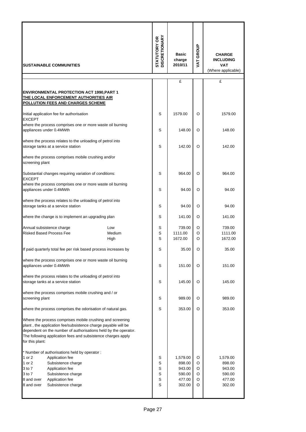| <b>SUSTAINABLE COMMUNITIES</b>                                                                  |                                                                                                                                                                                                                                                               | <b>STATUTORY OR<br/>DISCRETIONARY</b> | <b>Basic</b><br>charge<br>2010/11 | VAT GROUP                                                  | <b>CHARGE</b><br><b>INCLUDING</b><br><b>VAT</b><br>(Where applicable) |                                                            |
|-------------------------------------------------------------------------------------------------|---------------------------------------------------------------------------------------------------------------------------------------------------------------------------------------------------------------------------------------------------------------|---------------------------------------|-----------------------------------|------------------------------------------------------------|-----------------------------------------------------------------------|------------------------------------------------------------|
|                                                                                                 |                                                                                                                                                                                                                                                               |                                       |                                   | £                                                          |                                                                       | £                                                          |
|                                                                                                 | <b>ENVIRONMENTAL PROTECTION ACT 1990, PART 1</b><br>THE LOCAL ENFORCEMENT AUTHORITIES AIR<br>POLLUTION FEES AND CHARGES SCHEME                                                                                                                                |                                       |                                   |                                                            |                                                                       |                                                            |
| <b>EXCEPT</b>                                                                                   | Initial application fee for authorisation                                                                                                                                                                                                                     |                                       | S                                 | 1579.00                                                    | O                                                                     | 1579.00                                                    |
|                                                                                                 | where the process comprises one or more waste oil burning<br>appliances under 0.4MWth                                                                                                                                                                         |                                       | S                                 | 148.00                                                     | O                                                                     | 148.00                                                     |
|                                                                                                 | where the process relates to the unloading of petrol into<br>storage tanks at a service station                                                                                                                                                               |                                       | S                                 | 142.00                                                     | O                                                                     | 142.00                                                     |
| screening plant                                                                                 | where the process comprises mobile crushing and/or                                                                                                                                                                                                            |                                       |                                   |                                                            |                                                                       |                                                            |
| <b>EXCEPT</b>                                                                                   | Substantial changes requiring variation of conditions:                                                                                                                                                                                                        |                                       | S                                 | 964.00                                                     | O                                                                     | 964.00                                                     |
|                                                                                                 | where the process comprises one or more waste oil burning<br>appliances under 0.4MWth                                                                                                                                                                         |                                       | S                                 | 94.00                                                      | O<br>94.00                                                            |                                                            |
| where the process relates to the unloading of petrol into<br>storage tanks at a service station |                                                                                                                                                                                                                                                               | S                                     | 94.00                             | O                                                          | 94.00                                                                 |                                                            |
| where the change is to implement an upgrading plan                                              |                                                                                                                                                                                                                                                               | S                                     | 141.00                            | O                                                          | 141.00                                                                |                                                            |
| Annual subsistence charge<br>Low<br><b>Risked Based Process Fee</b><br>Medium<br>High           |                                                                                                                                                                                                                                                               | S<br>S<br>S                           | 739.00<br>1111.00<br>1672.00      | O<br>O<br>O                                                | 739.00<br>1111.00<br>1672.00                                          |                                                            |
|                                                                                                 | If paid quarterly total fee per risk based process increases by                                                                                                                                                                                               |                                       | S                                 | 35.00                                                      | O                                                                     | 35.00                                                      |
|                                                                                                 | where the process comprises one or more waste oil burning<br>appliances under 0.4MWth                                                                                                                                                                         |                                       | S                                 | 151.00                                                     | O                                                                     | 151.00                                                     |
|                                                                                                 | where the process relates to the unloading of petrol into<br>storage tanks at a service station                                                                                                                                                               |                                       | S                                 | 145.00                                                     | O                                                                     | 145.00                                                     |
| screening plant                                                                                 | where the process comprises mobile crushing and / or                                                                                                                                                                                                          |                                       | S                                 | 989.00                                                     | O                                                                     | 989.00                                                     |
|                                                                                                 | where the process comprises the odorisation of natural gas.                                                                                                                                                                                                   |                                       | S                                 | 353.00                                                     | O                                                                     | 353.00                                                     |
| for this plant:                                                                                 | Where the process comprises mobile crushing and screening<br>plant, the application fee/subsistence charge payable will be<br>dependent on the number of authorisations held by the operator.<br>The following application fees and subsistence charges apply |                                       |                                   |                                                            |                                                                       |                                                            |
| 1 or 2<br>1 or 2<br>3 to 7<br>3 to 7<br>8 and over<br>8 and over                                | * Number of authorisations held by operator:<br>Application fee<br>Subsistence charge<br>Application fee<br>Subsistence charge<br>Application fee<br>Subsistence charge                                                                                       |                                       | S<br>S<br>S<br>S<br>S<br>S        | 1,579.00<br>898.00<br>943.00<br>590.00<br>477.00<br>302.00 | O<br>O<br>O<br>O<br>O<br>O                                            | 1,579.00<br>898.00<br>943.00<br>590.00<br>477.00<br>302.00 |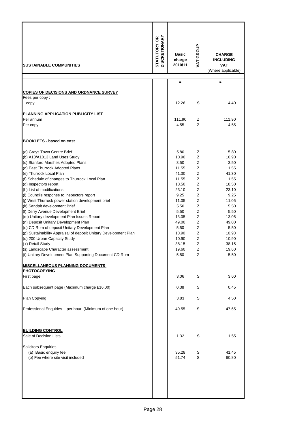| <b>SUSTAINABLE COMMUNITIES</b>                                                                                                                                                                                                                                                                                                                                                                                                                                                                                                                                                                                                                                                                                                                                                                                                                                                                                                                      | <b>STATUTORY OR<br/>DISCRETIONARY</b> | <b>Basic</b><br>charge<br>2010/11                                                                                                                                                         | VAT GROUP                                                                                                  | <b>CHARGE</b><br><b>INCLUDING</b><br><b>VAT</b><br>(Where applicable)                                                                                                                     |
|-----------------------------------------------------------------------------------------------------------------------------------------------------------------------------------------------------------------------------------------------------------------------------------------------------------------------------------------------------------------------------------------------------------------------------------------------------------------------------------------------------------------------------------------------------------------------------------------------------------------------------------------------------------------------------------------------------------------------------------------------------------------------------------------------------------------------------------------------------------------------------------------------------------------------------------------------------|---------------------------------------|-------------------------------------------------------------------------------------------------------------------------------------------------------------------------------------------|------------------------------------------------------------------------------------------------------------|-------------------------------------------------------------------------------------------------------------------------------------------------------------------------------------------|
|                                                                                                                                                                                                                                                                                                                                                                                                                                                                                                                                                                                                                                                                                                                                                                                                                                                                                                                                                     |                                       | £                                                                                                                                                                                         |                                                                                                            | £                                                                                                                                                                                         |
|                                                                                                                                                                                                                                                                                                                                                                                                                                                                                                                                                                                                                                                                                                                                                                                                                                                                                                                                                     |                                       |                                                                                                                                                                                           |                                                                                                            |                                                                                                                                                                                           |
| <b>COPIES OF DECISIONS AND ORDNANCE SURVEY</b><br>Fees per copy:                                                                                                                                                                                                                                                                                                                                                                                                                                                                                                                                                                                                                                                                                                                                                                                                                                                                                    |                                       |                                                                                                                                                                                           |                                                                                                            |                                                                                                                                                                                           |
| 1 copy                                                                                                                                                                                                                                                                                                                                                                                                                                                                                                                                                                                                                                                                                                                                                                                                                                                                                                                                              |                                       | 12.26                                                                                                                                                                                     | S                                                                                                          | 14.40                                                                                                                                                                                     |
|                                                                                                                                                                                                                                                                                                                                                                                                                                                                                                                                                                                                                                                                                                                                                                                                                                                                                                                                                     |                                       |                                                                                                                                                                                           |                                                                                                            |                                                                                                                                                                                           |
| PLANNING APPLICATION PUBLICITY LIST<br>Per annum                                                                                                                                                                                                                                                                                                                                                                                                                                                                                                                                                                                                                                                                                                                                                                                                                                                                                                    |                                       | 111.90                                                                                                                                                                                    | Z                                                                                                          | 111.90                                                                                                                                                                                    |
| Per copy                                                                                                                                                                                                                                                                                                                                                                                                                                                                                                                                                                                                                                                                                                                                                                                                                                                                                                                                            |                                       | 4.55                                                                                                                                                                                      | Z                                                                                                          | 4.55                                                                                                                                                                                      |
| <b>BOOKLETS - based on cost</b>                                                                                                                                                                                                                                                                                                                                                                                                                                                                                                                                                                                                                                                                                                                                                                                                                                                                                                                     |                                       |                                                                                                                                                                                           |                                                                                                            |                                                                                                                                                                                           |
| (a) Grays Town Centre Brief<br>(b) A13/A1013 Land Uses Study<br>(c) Stanford Marshes Adopted Plans<br>(d) East Thurrock Adopted Plans<br>(e) Thurrock Local Plan<br>(f) Schedule of changes to Thurrock Local Plan<br>(g) Inspectors report<br>(h) List of modifications<br>(i) Councils response to Inspectors report<br>(j) West Thurrock power station development brief<br>(k) Sandpit development Brief<br>(I) Derry Avenue Development Brief<br>(m) Unitary development Plan Issues Report<br>(n) Deposit Unitary Development Plan<br>(o) CD Rom of deposit Unitary Development Plan<br>(p) Sustainability Appraisal of deposit Unitary Development Plan<br>(q) 200 Urban Capacity Study<br>(r) Retail Study<br>(s) Landscape Character assessment<br>(t) Unitary Development Plan Supporting Document CD Rom<br><b>MISCELLANEOUS PLANNING DOCUMENTS</b><br><b>PHOTOCOPYING</b><br>First page<br>Each subsequent page (Maximum charge £16.00) |                                       | 5.80<br>10.90<br>3.50<br>11.55<br>41.30<br>11.55<br>18.50<br>23.10<br>9.25<br>11.05<br>5.50<br>5.50<br>13.05<br>49.00<br>5.50<br>10.90<br>10.90<br>38.15<br>19.60<br>5.50<br>3.06<br>0.38 | Ζ<br>Z<br>Z<br>Z<br>Z<br>Z<br>Z<br>Z<br>Z<br>Z<br>Z<br>Z<br>Z<br>Z<br>Z<br>Z<br>Z<br>Ζ<br>Z<br>Z<br>S<br>S | 5.80<br>10.90<br>3.50<br>11.55<br>41.30<br>11.55<br>18.50<br>23.10<br>9.25<br>11.05<br>5.50<br>5.50<br>13.05<br>49.00<br>5.50<br>10.90<br>10.90<br>38.15<br>19.60<br>5.50<br>3.60<br>0.45 |
|                                                                                                                                                                                                                                                                                                                                                                                                                                                                                                                                                                                                                                                                                                                                                                                                                                                                                                                                                     |                                       |                                                                                                                                                                                           |                                                                                                            |                                                                                                                                                                                           |
| Plan Copying<br>Professional Enquiries - per hour (Minimum of one hour)                                                                                                                                                                                                                                                                                                                                                                                                                                                                                                                                                                                                                                                                                                                                                                                                                                                                             |                                       | 3.83<br>40.55                                                                                                                                                                             | S<br>S                                                                                                     | 4.50<br>47.65                                                                                                                                                                             |
| <b>BUILDING CONTROL</b>                                                                                                                                                                                                                                                                                                                                                                                                                                                                                                                                                                                                                                                                                                                                                                                                                                                                                                                             |                                       |                                                                                                                                                                                           |                                                                                                            |                                                                                                                                                                                           |
| Sale of Decision Lists                                                                                                                                                                                                                                                                                                                                                                                                                                                                                                                                                                                                                                                                                                                                                                                                                                                                                                                              |                                       | 1.32                                                                                                                                                                                      | S                                                                                                          | 1.55                                                                                                                                                                                      |
| <b>Solicitors Enquiries</b><br>(a) Basic enquiry fee<br>(b) Fee where site visit included                                                                                                                                                                                                                                                                                                                                                                                                                                                                                                                                                                                                                                                                                                                                                                                                                                                           |                                       | 35.28<br>51.74                                                                                                                                                                            | S<br>S                                                                                                     | 41.45<br>60.80                                                                                                                                                                            |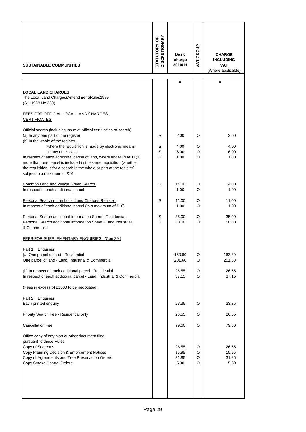| <b>ISUSTAINABLE COMMUNITIES</b>                                                                                                                                                                                                                                                                                              |        | <b>Basic</b><br>charge<br>2010/11 | VAT GROUP        | <b>CHARGE</b><br><b>INCLUDING</b><br><b>VAT</b><br>(Where applicable) |
|------------------------------------------------------------------------------------------------------------------------------------------------------------------------------------------------------------------------------------------------------------------------------------------------------------------------------|--------|-----------------------------------|------------------|-----------------------------------------------------------------------|
|                                                                                                                                                                                                                                                                                                                              |        | £                                 |                  | £                                                                     |
| <b>LOCAL LAND CHARGES</b><br>The Local Land Charges(Amendment)Rules1989<br>(S.1.1988 No.389)                                                                                                                                                                                                                                 |        |                                   |                  |                                                                       |
| FEES FOR OFFICIAL LOCAL LAND CHARGES<br><b>CERTIFICATES</b>                                                                                                                                                                                                                                                                  |        |                                   |                  |                                                                       |
| Official search (including issue of official certificates of search)<br>(a) In any one part of the register<br>(b) In the whole of the register:-                                                                                                                                                                            | S<br>S | 2.00<br>4.00                      | O<br>O           | 2.00<br>4.00                                                          |
| where the requisition is made by electronic means<br>In any other case<br>In respect of each additional parcel of land, where under Rule 11(3)<br>more than one parcel is included in the same requisition (whether<br>the requisition is for a search in the whole or part of the register)<br>subject to a maximum of £16. |        | 6.00<br>1.00                      | O<br>O           | 6.00<br>1.00                                                          |
| Common Land and Village Green Search<br>In respect of each additional parcel                                                                                                                                                                                                                                                 |        | 14.00<br>1.00                     | O<br>O           | 14.00<br>1.00                                                         |
| Personal Search of the Local Land Charges Register<br>In respect of each additional parcel (to a maximum of £16)                                                                                                                                                                                                             |        | 11.00<br>1.00                     | O<br>O           | 11.00<br>1.00                                                         |
| Personal Search additional Information Sheet - Residential<br>Personal Search additional Information Sheet - Land, Industrial,<br>& Commercial                                                                                                                                                                               |        | 35.00<br>50.00                    | O<br>O           | 35.00<br>50.00                                                        |
| FEES FOR SUPPLEMENTARY ENQUIRIES (Con 29)                                                                                                                                                                                                                                                                                    |        |                                   |                  |                                                                       |
| Part 1<br><b>Enquiries</b><br>(a) One parcel of land - Residential<br>One parcel of land - Land, Industrial & Commercial                                                                                                                                                                                                     |        | 163.80<br>201.60                  | O<br>O           | 163.80<br>201.60                                                      |
| (b) In respect of each additional parcel - Residential<br>In respect of each additional parcel - Land, Industrial & Commercial                                                                                                                                                                                               |        | 26.55<br>37.15                    | O<br>O           | 26.55<br>37.15                                                        |
| (Fees in excess of £1000 to be negotiated)                                                                                                                                                                                                                                                                                   |        |                                   |                  |                                                                       |
| Part 2 Enquiries<br>Each printed enquiry                                                                                                                                                                                                                                                                                     |        | 23.35                             | O                | 23.35                                                                 |
| Priority Search Fee - Residential only                                                                                                                                                                                                                                                                                       |        | 26.55                             | O                | 26.55                                                                 |
| <b>Cancellation Fee</b>                                                                                                                                                                                                                                                                                                      |        | 79.60                             | O                | 79.60                                                                 |
| Office copy of any plan or other document filed<br>pursuant to these Rules<br>Copy of Searches<br>Copy Planning Decision & Enforcement Notices<br>Copy of Agreements and Tree Preservation Orders<br>Copy Smoke Control Orders                                                                                               |        | 26.55<br>15.95<br>31.85<br>5.30   | O<br>O<br>O<br>O | 26.55<br>15.95<br>31.85<br>5.30                                       |
|                                                                                                                                                                                                                                                                                                                              |        |                                   |                  |                                                                       |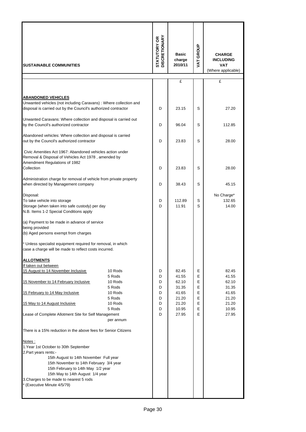| <b>ISUSTAINABLE COMMUNITIES</b>                                                                                                                                                                                                                                                                                   |                             | <b>STATUTORY OR<br/>DISCRETIONARY</b> | <b>Basic</b><br>charge<br>2010/11 | VAT GROUP   | <b>CHARGE</b><br><b>INCLUDING</b><br><b>VAT</b><br>(Where applicable) |
|-------------------------------------------------------------------------------------------------------------------------------------------------------------------------------------------------------------------------------------------------------------------------------------------------------------------|-----------------------------|---------------------------------------|-----------------------------------|-------------|-----------------------------------------------------------------------|
|                                                                                                                                                                                                                                                                                                                   |                             |                                       | £                                 |             | £                                                                     |
|                                                                                                                                                                                                                                                                                                                   |                             |                                       |                                   |             |                                                                       |
| <b>ABANDONED VEHICLES</b><br>Unwanted vehicles (not including Caravans) : Where collection and<br>disposal is carried out by the Council's authorized contractor                                                                                                                                                  |                             | D                                     | 23.15                             | S           | 27.20                                                                 |
| Unwanted Caravans: Where collection and disposal is carried out<br>by the Council's authorized contractor                                                                                                                                                                                                         |                             | D                                     | 96.04                             | S           | 112.85                                                                |
| Abandoned vehicles: Where collection and disposal is carried<br>out by the Council's authorized contractor                                                                                                                                                                                                        |                             | D                                     | 23.83                             | S           | 28.00                                                                 |
| Civic Amenities Act 1967: Abandoned vehicles action under<br>Removal & Disposal of Vehicles Act 1978, amended by<br>Amendment Regulations of 1982                                                                                                                                                                 |                             |                                       |                                   |             |                                                                       |
| Collection                                                                                                                                                                                                                                                                                                        |                             | D                                     | 23.83                             | S           | 28.00                                                                 |
| Administration charge for removal of vehicle from private property<br>when directed by Management company                                                                                                                                                                                                         |                             | D                                     | 38.43                             | S           | 45.15                                                                 |
| Disposal:<br>To take vehicle into storage<br>Storage (when taken into safe custody) per day<br>N.B. Items 1-2 Special Conditions apply                                                                                                                                                                            |                             | D<br>D                                | 112.89<br>11.91                   | S<br>S      | No Charge*<br>132.65<br>14.00                                         |
| (a) Payment to be made in advance of service<br>being provided                                                                                                                                                                                                                                                    |                             |                                       |                                   |             |                                                                       |
| (b) Aged persons exempt from charges                                                                                                                                                                                                                                                                              |                             |                                       |                                   |             |                                                                       |
| * Unless specialist equipment required for removal, in which<br>case a charge will be made to reflect costs incurred.                                                                                                                                                                                             |                             |                                       |                                   |             |                                                                       |
| <b>ALLOTMENTS</b><br>If taken out between                                                                                                                                                                                                                                                                         |                             |                                       |                                   |             |                                                                       |
| 15 August to 14 November Inclusive                                                                                                                                                                                                                                                                                | 10 Rods                     | D                                     | 82.45                             | Е           | 82.45                                                                 |
| 15 November to 14 February Inclusive                                                                                                                                                                                                                                                                              | 5 Rods<br>10 Rods<br>5 Rods | D<br>D<br>D                           | 41.55<br>62.10<br>31.35           | Е<br>E<br>E | 41.55<br>62.10<br>31.35                                               |
| 15 February to 14 May Inclusive                                                                                                                                                                                                                                                                                   | 10 Rods<br>5 Rods           | D<br>D                                | 41.65<br>21.20                    | E<br>E      | 41.65<br>21.20                                                        |
| 15 May to 14 August Inclusive                                                                                                                                                                                                                                                                                     | 10 Rods<br>5 Rods           | D<br>D                                | 21.20<br>10.95                    | E<br>E      | 21.20<br>10.95                                                        |
| Lease of Complete Allotment Site for Self Management                                                                                                                                                                                                                                                              | per annum                   | D                                     | 27.95                             | E           | 27.95                                                                 |
| There is a 15% reduction in the above fees for Senior Citizens                                                                                                                                                                                                                                                    |                             |                                       |                                   |             |                                                                       |
| Notes:<br>1. Year 1st October to 30th September<br>2. Part years rents:-<br>15th August to 14th November Full year<br>15th November to 14th February 3/4 year<br>15th February to 14th May 1/2 year<br>15th May to 14th August 1/4 year<br>3. Charges to be made to nearest 5 rods<br>* (Executive Minute 4/5/79) |                             |                                       |                                   |             |                                                                       |
|                                                                                                                                                                                                                                                                                                                   |                             |                                       |                                   |             |                                                                       |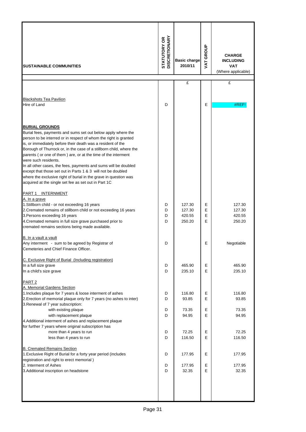| <b>SUSTAINABLE COMMUNITIES</b>                                                                                                                                                                                                                                                                                                                                                                                                                                                                                                                                                                                                                          | <b>STATUTORY OR<br/>DISCRETIONARY</b> | <b>Basic charge</b><br>2010/11       | VAT GROUP        | <b>CHARGE</b><br><b>INCLUDING</b><br><b>VAT</b><br>(Where applicable) |
|---------------------------------------------------------------------------------------------------------------------------------------------------------------------------------------------------------------------------------------------------------------------------------------------------------------------------------------------------------------------------------------------------------------------------------------------------------------------------------------------------------------------------------------------------------------------------------------------------------------------------------------------------------|---------------------------------------|--------------------------------------|------------------|-----------------------------------------------------------------------|
|                                                                                                                                                                                                                                                                                                                                                                                                                                                                                                                                                                                                                                                         |                                       | £                                    |                  | £                                                                     |
| <b>Blackshots Tea Pavilion</b><br>Hire of Land                                                                                                                                                                                                                                                                                                                                                                                                                                                                                                                                                                                                          | D                                     |                                      | Е                | #REF                                                                  |
| <b>BURIAL GROUNDS</b><br>Burial fees, payments and sums set out below apply where the<br>person to be interred or in respect of whom the right is granted<br>is, or immediately before their death was a resident of the<br>Borough of Thurrock or, in the case of a stillborn child, where the<br>parents (or one of them) are, or at the time of the interment<br>were such residents.<br>In all other cases, the fees, payments and sums will be doubled<br>except that those set out in Parts 1 & 3 will not be doubled<br>where the exclusive right of burial in the grave in question was<br>acquired at the single set fee as set out in Part 1C |                                       |                                      |                  |                                                                       |
| PART 1 INTERNMENT<br>A. In a grave<br>1. Stillborn child - or not exceeding 16 years<br>2. Cremated remains of stillborn child or not exceeding 16 years<br>3. Persons exceeding 16 years<br>4. Cremated remains in full size grave purchased prior to<br>cremated remains sections being made available.                                                                                                                                                                                                                                                                                                                                               | D<br>D<br>D<br>D                      | 127.30<br>127.30<br>420.55<br>250.20 | Е<br>Е<br>E<br>E | 127.30<br>127.30<br>420.55<br>250.20                                  |
| B. In a vault a vault<br>Any interment - sum to be agreed by Registrar of<br>Cemeteries and Chief Finance Officer.                                                                                                                                                                                                                                                                                                                                                                                                                                                                                                                                      | D                                     |                                      | Е                | Negotiable                                                            |
| C. Exclusive Right of Burial (Including registration)<br>In a full size grave<br>In a child's size grave                                                                                                                                                                                                                                                                                                                                                                                                                                                                                                                                                | D<br>D                                | 465.90<br>235.10                     | Е<br>E           | 465.90<br>235.10                                                      |
| PART <sub>2</sub><br>A. Memorial Gardens Section<br>1. Includes plaque for 7 years & loose interment of ashes<br>2. Erection of memorial plaque only for 7 years (no ashes to inter)                                                                                                                                                                                                                                                                                                                                                                                                                                                                    | D<br>D                                | 116.80<br>93.85                      | Е<br>E           | 116.80<br>93.85                                                       |
| 3. Renewal of 7 year subscription:<br>with existing plaque<br>with replacement plaque<br>4. Additional interment of ashes and replacement plaque                                                                                                                                                                                                                                                                                                                                                                                                                                                                                                        | Е<br>D<br>73.35<br>D<br>E<br>94.95    |                                      | 73.35<br>94.95   |                                                                       |
| for further 7 years where original subscription has<br>more than 4 years to run<br>less than 4 years to run                                                                                                                                                                                                                                                                                                                                                                                                                                                                                                                                             | D<br>D                                | 72.25<br>116.50                      | Е<br>E           | 72.25<br>116.50                                                       |
| <b>B. Cremated Remains Section</b><br>1. Exclusive Right of Burial for a forty year period (includes                                                                                                                                                                                                                                                                                                                                                                                                                                                                                                                                                    | D                                     | 177.95                               | Е                | 177.95                                                                |
| registration and right to erect memorial)<br>2. Interment of Ashes<br>3. Additional inscription on headstone                                                                                                                                                                                                                                                                                                                                                                                                                                                                                                                                            | D<br>D                                | 177.95<br>32.35                      | Е<br>E           | 177.95<br>32.35                                                       |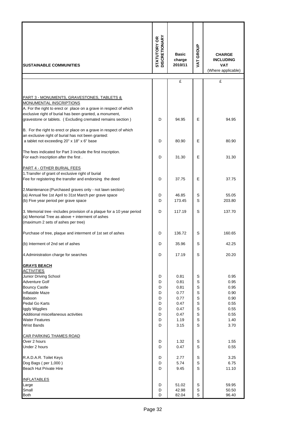| <b>ISUSTAINABLE COMMUNITIES</b>                                                                                                                                                                                                                                                 | <b>DISCRETIONARY</b><br><b>STATUTORY OR</b>    | <b>Basic</b><br>charge<br>2010/11                                            | VAT GROUP                                                | <b>CHARGE</b><br><b>INCLUDING</b><br><b>VAT</b><br>(Where applicable)        |
|---------------------------------------------------------------------------------------------------------------------------------------------------------------------------------------------------------------------------------------------------------------------------------|------------------------------------------------|------------------------------------------------------------------------------|----------------------------------------------------------|------------------------------------------------------------------------------|
|                                                                                                                                                                                                                                                                                 |                                                | £                                                                            |                                                          | £                                                                            |
| <b>PART 3 - MONUMENTS, GRAVESTONES, TABLETS &amp;</b><br>MONUMENTAL INSCRIPTIONS<br>A. For the right to erect or place on a grave in respect of which<br>exclusive right of burial has been granted, a monument,<br>gravestone or tablets. (Excluding cremated remains section) | D                                              | 94.95                                                                        | E                                                        | 94.95                                                                        |
| B. For the right to erect or place on a grave in respect of which<br>an exclusive right of burial has not been granted:<br>a tablet not exceeding 20" x 18" x 6" base                                                                                                           | D                                              | 80.90                                                                        | E                                                        | 80.90                                                                        |
| The fees indicated for Part 3 include the first inscription.<br>For each inscription after the first.                                                                                                                                                                           | D                                              | 31.30                                                                        | E                                                        | 31.30                                                                        |
| PART 4 - OTHER BURIAL FEES<br>1. Transfer of grant of exclusive right of burial<br>Fee for registering the transfer and endorsing the deed                                                                                                                                      | D                                              | 37.75                                                                        | Е                                                        | 37.75                                                                        |
| 2. Maintenance: (Purchased graves only - not lawn section)<br>(a) Annual fee 1st April to 31st March per grave space<br>(b) Five year period per grave space                                                                                                                    |                                                | 46.85<br>173.45                                                              | S<br>S                                                   | 55.05<br>203.80                                                              |
| 3. Memorial tree -includes provision of a plaque for a 10 year period<br>(a) Memorial Tree as above + interment of ashes<br>(maximum 2 sets of ashes per tree)                                                                                                                  |                                                | 117.19                                                                       | S                                                        | 137.70                                                                       |
| Purchase of tree, plaque and interment of 1st set of ashes                                                                                                                                                                                                                      | D                                              | 136.72                                                                       | S                                                        | 160.65                                                                       |
| (b) Interment of 2nd set of ashes                                                                                                                                                                                                                                               | D                                              | 35.96                                                                        | S                                                        | 42.25                                                                        |
| 4. Administration charge for searches                                                                                                                                                                                                                                           | D                                              | 17.19                                                                        | S                                                        | 20.20                                                                        |
| <b>GRAYS BEACH</b><br><b>ACTIVITIES</b>                                                                                                                                                                                                                                         |                                                |                                                                              |                                                          |                                                                              |
| Junior Driving School<br>Adventure Golf<br><b>Bouncy Castle</b><br><b>Inflatable Maze</b><br>Baboon<br>Pedal Go Karts<br>Iggly Wigglies<br>Additional miscellaneous activities<br><b>Water Features</b><br><b>Wrist Bands</b>                                                   | D<br>D<br>D<br>D<br>D<br>D<br>D<br>D<br>D<br>D | 0.81<br>0.81<br>0.81<br>0.77<br>0.77<br>0.47<br>0.47<br>0.47<br>1.19<br>3.15 | S<br>S<br>S<br>S<br>S<br>S<br>S<br>S<br>$\mathbf S$<br>S | 0.95<br>0.95<br>0.95<br>0.90<br>0.90<br>0.55<br>0.55<br>0.55<br>1.40<br>3.70 |
| <b>CAR PARKING THAMES ROAD</b><br>Over 2 hours                                                                                                                                                                                                                                  | D<br>D                                         | 1.32<br>0.47                                                                 | S<br>S                                                   | 1.55<br>0.55                                                                 |
| Under 2 hours<br>R.A.D.A.R. Toilet Keys<br>Dog Bags (per 1,000)<br>Beach Hut Private Hire                                                                                                                                                                                       |                                                | 2.77<br>5.74<br>9.45                                                         | S<br>$\mathbb S$<br>S                                    | 3.25<br>6.75<br>11.10                                                        |
| <b>INFLATABLES</b><br>Large<br>Small<br><b>Both</b>                                                                                                                                                                                                                             | D<br>D<br>D                                    | 51.02<br>42.98<br>82.04                                                      | S<br>$\mathbb S$<br>S                                    | 59.95<br>50.50<br>96.40                                                      |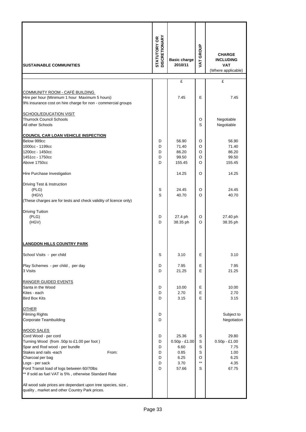| <b>SUSTAINABLE COMMUNITIES</b>                                                                                                                                                                                                                                                                                                                                                                                       | <b>STATUTORY OR<br/>DISCRETIONARY</b> | <b>Basic charge</b><br>2010/11                                    | VAT GROUP                           | <b>CHARGE</b><br><b>INCLUDING</b><br><b>VAT</b><br>(Where applicable) |
|----------------------------------------------------------------------------------------------------------------------------------------------------------------------------------------------------------------------------------------------------------------------------------------------------------------------------------------------------------------------------------------------------------------------|---------------------------------------|-------------------------------------------------------------------|-------------------------------------|-----------------------------------------------------------------------|
|                                                                                                                                                                                                                                                                                                                                                                                                                      |                                       | £                                                                 |                                     | £                                                                     |
| <b>COMMUNITY ROOM - CAFÉ BUILDING</b><br>Hire per hour (Minimum 1 hour Maximum 5 hours)<br>9% insurance cost on hire charge for non - commercial groups                                                                                                                                                                                                                                                              |                                       | 7.45                                                              | E                                   | 7.45                                                                  |
| SCHOOL/EDUCATION VISIT<br><b>Thurrock Council Schools</b><br>All other Schools                                                                                                                                                                                                                                                                                                                                       |                                       |                                                                   | O<br>S                              | Negotiable<br>Negotiable                                              |
| <b>COUNCIL CAR LOAN VEHICLE INSPECTION</b><br>Below 999cc<br>1000cc - 1199cc<br>1200cc - 1450cc<br>1451cc - 1750cc<br>Above 1750cc                                                                                                                                                                                                                                                                                   | D<br>D<br>D<br>D<br>D                 | 56.90<br>71.40<br>86.20<br>99.50<br>155.45                        | O<br>O<br>O<br>O<br>O               | 56.90<br>71.40<br>86.20<br>99.50<br>155.45                            |
| Hire Purchase Investigation                                                                                                                                                                                                                                                                                                                                                                                          |                                       | 14.25                                                             | O                                   | 14.25                                                                 |
| Driving Test & Instruction<br>(PLG)<br>(HGV)<br>(These charges are for tests and check validity of licence only)                                                                                                                                                                                                                                                                                                     | S<br>S                                | 24.45<br>40.70                                                    | O<br>O                              | 24.45<br>40.70                                                        |
| <b>Driving Tuition</b><br>(PLG)<br>(HGV)                                                                                                                                                                                                                                                                                                                                                                             |                                       | D<br>27.4 ph<br>O<br>38.35 ph<br>D<br>O                           |                                     | 27.40 ph<br>38.35 ph                                                  |
| <b>LANGDON HILLS COUNTRY PARK</b>                                                                                                                                                                                                                                                                                                                                                                                    |                                       |                                                                   |                                     |                                                                       |
| School Visits - per child                                                                                                                                                                                                                                                                                                                                                                                            | S                                     | 3.10                                                              | Е                                   | 3.10                                                                  |
| Play Schemes - per child, per day<br>3 Visits                                                                                                                                                                                                                                                                                                                                                                        | D<br>D                                | 7.95<br>21.25                                                     | Е<br>Е                              |                                                                       |
| <b>RANGER GUIDED EVENTS</b><br>Santa in the Wood<br>Kites - each<br><b>Bird Box Kits</b>                                                                                                                                                                                                                                                                                                                             | D<br>D<br>D                           | 10.00<br>2.70<br>3.15                                             | Е<br>E<br>E                         | 10.00<br>2.70<br>3.15                                                 |
| <b>OTHER</b><br><b>Filming Rights</b><br><b>Corporate Teambuilding</b>                                                                                                                                                                                                                                                                                                                                               | D<br>D                                |                                                                   |                                     | Subject to<br>Negotiation                                             |
| WOOD SALES<br>Cord Wood - per cord<br>Turning Wood (from .50p to £1.00 per foot)<br>Spar and Rod wood - per bundle<br>From:<br>Stakes and rails -each<br>Charcoal per bag<br>Logs - per sack<br>Ford Transit load of logs between 60/70lbs<br>** If sold as fuel VAT is 5%, otherwise Standard Rate<br>All wood sale prices are dependant upon tree species, size,<br>quality, market and other Country Park prices. | D<br>D<br>D<br>D<br>D<br>D<br>D       | 25.36<br>$0.50p - £1.00$<br>6.60<br>0.85<br>6.25<br>3.70<br>57.66 | S<br>S<br>S<br>S<br>O<br>$***$<br>S | 29.80<br>$0.50p - £1.00$<br>7.75<br>1.00<br>6.25<br>4.35<br>67.75     |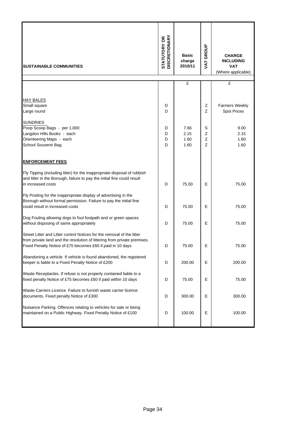| <b>SUSTAINABLE COMMUNITIES</b>                                                                                                                                                                                   |            | <b>Basic</b><br>charge<br>2010/11 | <b>VAT GROUP</b> | <b>CHARGE</b><br><b>INCLUDING</b><br><b>VAT</b><br>(Where applicable) |
|------------------------------------------------------------------------------------------------------------------------------------------------------------------------------------------------------------------|------------|-----------------------------------|------------------|-----------------------------------------------------------------------|
|                                                                                                                                                                                                                  |            | £                                 |                  | £                                                                     |
|                                                                                                                                                                                                                  |            |                                   |                  |                                                                       |
| <b>HAY BALES</b><br>Small square<br>Large round                                                                                                                                                                  | D<br>D     |                                   | Ζ<br>Z           | <b>Farmers Weekly</b><br><b>Spot Prices</b>                           |
| <b>SUNDRIES</b><br>Poop Scoop Bags - per 1,000<br>Langdon Hills Books - each<br>Orienteering Maps - each<br>School Souvenir Bag                                                                                  |            | 7.66<br>2.15<br>1.60<br>1.60      | S<br>Z<br>Z<br>Z | 9.00<br>2.15<br>1.60<br>1.60                                          |
| <b>ENFORCEMENT FEES</b>                                                                                                                                                                                          |            |                                   |                  |                                                                       |
| Fly Tipping (including litter) for the inappropriate disposal of rubbish<br>and litter in the Borough, failure to pay the initial fine could result<br>in increased costs                                        | D          | 75.00                             | E                | 75.00                                                                 |
| Fly Posting for the inappropriate display of advertising in the<br>Borough without formal permission. Failure to pay the initial fine<br>could result in increased costs                                         | D          | 75.00                             | E                | 75.00                                                                 |
| Dog Fouling allowing dogs to foul footpath and or green spaces<br>without disposing of same appropriately                                                                                                        | D<br>75.00 |                                   | Е                | 75.00                                                                 |
| Street Litter and Litter control Notices for the removal of the litter<br>from private land and the resolution of littering from private premises.<br>Fixed Penalty Notice of £75 becomes £60 if paid in 10 days |            | 75.00                             | Е                | 75.00                                                                 |
| Abandoning a vehicle. If vehicle is found abandoned, the registered<br>keeper is liable to a Fixed Penalty Notice of £200                                                                                        | D          | 200.00                            | Е                | 200.00                                                                |
| Waste Receptacles. If refuse is not properly contained liable to a<br>fixed penalty Notice of £75 becomes £60 if paid within 10 days                                                                             | D          | 75.00                             | Е                | 75.00                                                                 |
| Waste Carriers Licence. Failure to furnish waste carrier licence<br>documents. Fixed penalty Notice of £300                                                                                                      |            | 300.00                            | Е                | 300.00                                                                |
| Nuisance Parking. Offences relating to vehicles for sale or being<br>maintained on a Public Highway. Fixed Penalty Notice of £100                                                                                | D          | 100.00                            | Е                | 100.00                                                                |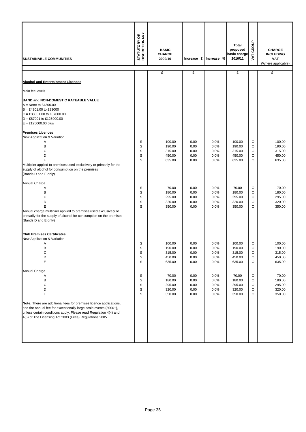| <b>SUSTAINABLE COMMUNITIES</b>                                                                                                                                                                                                                                       | <b>STATUTORY OR<br/>DISCRETIONARY</b>     | <b>BASIC</b><br><b>CHARGE</b><br>2009/10       |                                          | Increase £ Increase %                | <b>Total</b><br>proposed<br>basic charge<br>2010/11 | VAT GROUP                         | <b>CHARGE</b><br><b>INCLUDING</b><br><b>VAT</b><br>(Where applicable) |
|----------------------------------------------------------------------------------------------------------------------------------------------------------------------------------------------------------------------------------------------------------------------|-------------------------------------------|------------------------------------------------|------------------------------------------|--------------------------------------|-----------------------------------------------------|-----------------------------------|-----------------------------------------------------------------------|
|                                                                                                                                                                                                                                                                      |                                           | £                                              | £                                        |                                      | £                                                   |                                   | £                                                                     |
| <b>Alcohol and Entertainment Licences</b>                                                                                                                                                                                                                            |                                           |                                                |                                          |                                      |                                                     |                                   |                                                                       |
| Main fee levels                                                                                                                                                                                                                                                      |                                           |                                                |                                          |                                      |                                                     |                                   |                                                                       |
| BAND and NON-DOMESTIC RATEABLE VALUE<br>$A = None$ to £4300.00<br>$B = £4301.00$ to £33000<br>$C = £33001.00$ to £87000.00<br>$D = \pounds87001$ to £125000.00<br>$E = £125000.00$ plus                                                                              |                                           |                                                |                                          |                                      |                                                     |                                   |                                                                       |
| <b>Premises Licences</b>                                                                                                                                                                                                                                             |                                           |                                                |                                          |                                      |                                                     |                                   |                                                                       |
| New Application & Variation<br>Α<br>B<br>C<br>D<br>E<br>Multiplier applied to premises used exclusively or primarily for the<br>supply of alcohol for consumption on the premises<br>(Bands D and E only)                                                            | S<br>S<br>S<br>S<br>S                     | 100.00<br>190.00<br>315.00<br>450.00<br>635.00 | 0.00<br>0.00<br>0.00<br>0.00<br>0.00     | 0.0%<br>0.0%<br>0.0%<br>0.0%<br>0.0% | 100.00<br>190.00<br>315.00<br>450.00<br>635.00      | O<br>O<br>O<br>O<br>$\circ$       | 100.00<br>190.00<br>315.00<br>450.00<br>635.00                        |
| Annual Charge<br>Α<br>B<br>C<br>D<br>E<br>Annual charge multiplier applied to premises used exclusively or<br>primarily for the supply of alcohol for consumption on the premises<br>(Bands D and E only)                                                            | S<br>S<br>S<br>S<br>S                     | 70.00<br>180.00<br>295.00<br>320.00<br>350.00  | 0.00<br>0.00<br>0.00<br>0.00<br>0.00     | 0.0%<br>0.0%<br>0.0%<br>0.0%<br>0.0% | 70.00<br>180.00<br>295.00<br>320.00<br>350.00       | O<br>O<br>O<br>O<br>O             | 70.00<br>180.00<br>295.00<br>320.00<br>350.00                         |
| <b>Club Premises Certificates</b>                                                                                                                                                                                                                                    |                                           |                                                |                                          |                                      |                                                     |                                   |                                                                       |
| New Application & Variation<br>Α<br>B<br>С<br>D<br>E                                                                                                                                                                                                                 | S<br>S<br>S<br>S<br>S                     | 100.00<br>190.00<br>315.00<br>450.00<br>635.00 | 0.00<br>0.00<br>0.00<br>0.00<br>$0.00\,$ | 0.0%<br>0.0%<br>0.0%<br>0.0%<br>0.0% | 100.00<br>190.00<br>315.00<br>450.00<br>635.00      | O<br>O<br>O<br>$\circ$<br>O       | 100.00<br>190.00<br>315.00<br>450.00<br>635.00                        |
| Annual Charge<br>Α<br>В<br>$\mathsf C$<br>D<br>E                                                                                                                                                                                                                     | S<br>$\mathbb S$<br>S<br>$\mathbb S$<br>S | 70.00<br>180.00<br>295.00<br>320.00<br>350.00  | 0.00<br>$0.00\,$<br>0.00<br>0.00<br>0.00 | 0.0%<br>0.0%<br>0.0%<br>0.0%<br>0.0% | 70.00<br>180.00<br>295.00<br>320.00<br>350.00       | $\circ$<br>O<br>$\circ$<br>O<br>O | 70.00<br>180.00<br>295.00<br>320.00<br>350.00                         |
| Note: There are additional fees for premises licence applications,<br>and the annual fee for exceptionally large scale events (5000+),<br>unless certain conditions apply. Please read Regulation 4(4) and<br>4(5) of The Licensing Act 2003 (Fees) Regulations 2005 |                                           |                                                |                                          |                                      |                                                     |                                   |                                                                       |